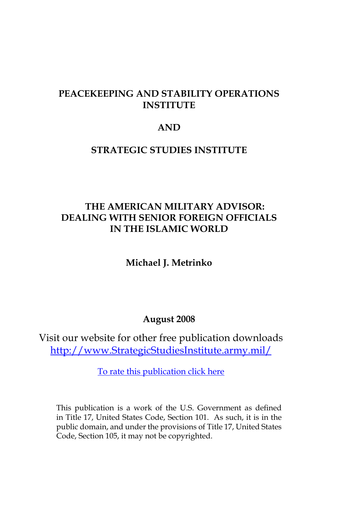## **PEACEKEEPING AND STABILITY OPERATIONS INSTITUTE**

## **AND**

#### **STRATEGIC STUDIES INSTITUTE**

## **THE AMERICAN MILITARY ADVISOR: DEALING WITH SENIOR FOREIGN OFFICIALS IN THE ISLAMIC WORLD**

**Michael J. Metrinko**

#### **August 2008**

Visit our website for other free publication downloads [http://www.StrategicStudiesInstitute.army.mil/](http://www.StrategicStudiesInstitute.army.mil)

[To rate this publication click here](http://www.strategicstudiesinstitute.army.mil/pubs/display.cfm?pubID=869)

This publication is a work of the U.S. Government as defined in Title 17, United States Code, Section 101. As such, it is in the public domain, and under the provisions of Title 17, United States Code, Section 105, it may not be copyrighted.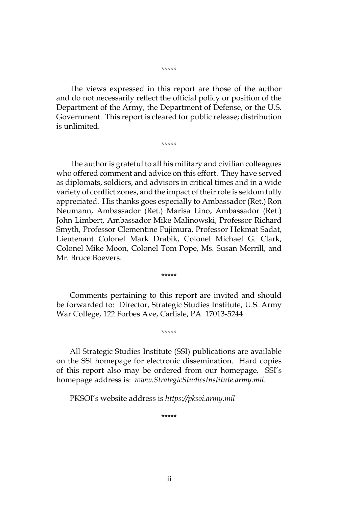#### \*\*\*\*\*

The views expressed in this report are those of the author and do not necessarily reflect the official policy or position of the Department of the Army, the Department of Defense, or the U.S. Government. This report is cleared for public release; distribution is unlimited.

\*\*\*\*\*

The author is grateful to all his military and civilian colleagues who offered comment and advice on this effort. They have served as diplomats, soldiers, and advisors in critical times and in a wide variety of conflict zones, and the impact of their role is seldom fully appreciated. His thanks goes especially to Ambassador (Ret.) Ron Neumann, Ambassador (Ret.) Marisa Lino, Ambassador (Ret.) John Limbert, Ambassador Mike Malinowski, Professor Richard Smyth, Professor Clementine Fujimura, Professor Hekmat Sadat, Lieutenant Colonel Mark Drabik, Colonel Michael G. Clark, Colonel Mike Moon, Colonel Tom Pope, Ms. Susan Merrill, and Mr. Bruce Boevers.

Comments pertaining to this report are invited and should be forwarded to: Director, Strategic Studies Institute, U.S. Army War College, 122 Forbes Ave, Carlisle, PA 17013-5244.

\*\*\*\*\*

\*\*\*\*\*

All Strategic Studies Institute (SSI) publications are available on the SSI homepage for electronic dissemination. Hard copies of this report also may be ordered from our homepage. SSI's homepage address is: *www.StrategicStudiesInstitute.army.mil*.

PKSOI's website address is *https://pksoi.army.mil*

\*\*\*\*\*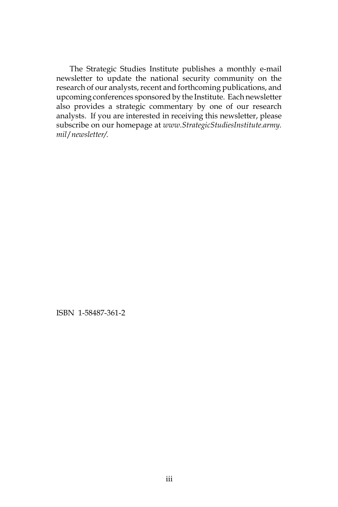The Strategic Studies Institute publishes a monthly e-mail newsletter to update the national security community on the research of our analysts, recent and forthcoming publications, and upcoming conferences sponsored by the Institute. Each newsletter also provides a strategic commentary by one of our research analysts. If you are interested in receiving this newsletter, please subscribe on our homepage at *www.StrategicStudiesInstitute.army. mil*/*newsletter/.*

ISBN 1-58487-361-2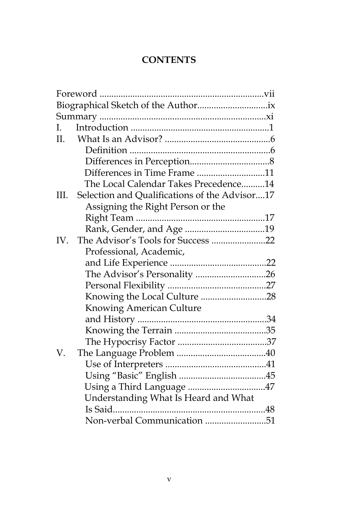# **CONTENTS**

|     | Foreword                                      |  |
|-----|-----------------------------------------------|--|
|     |                                               |  |
|     |                                               |  |
| L   |                                               |  |
| II. |                                               |  |
|     |                                               |  |
|     |                                               |  |
|     | Differences in Time Frame 11                  |  |
|     | The Local Calendar Takes Precedence14         |  |
| Ш.  | Selection and Qualifications of the Advisor17 |  |
|     | Assigning the Right Person or the             |  |
|     |                                               |  |
|     |                                               |  |
| IV. | The Advisor's Tools for Success 22            |  |
|     | Professional, Academic,                       |  |
|     |                                               |  |
|     | The Advisor's Personality 26                  |  |
|     |                                               |  |
|     | Knowing the Local Culture 28                  |  |
|     | <b>Knowing American Culture</b>               |  |
|     |                                               |  |
|     |                                               |  |
|     |                                               |  |
| V.  |                                               |  |
|     |                                               |  |
|     |                                               |  |
|     | Using a Third Language 47                     |  |
|     | Understanding What Is Heard and What          |  |
|     |                                               |  |
|     | Non-verbal Communication 51                   |  |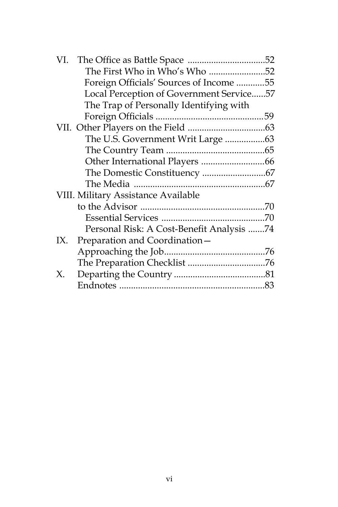|     | The First Who in Who's Who 52             |  |
|-----|-------------------------------------------|--|
|     | Foreign Officials' Sources of Income 55   |  |
|     | Local Perception of Government Service57  |  |
|     | The Trap of Personally Identifying with   |  |
|     |                                           |  |
|     |                                           |  |
|     | The U.S. Government Writ Large 63         |  |
|     |                                           |  |
|     |                                           |  |
|     |                                           |  |
|     |                                           |  |
|     | VIII. Military Assistance Available       |  |
|     |                                           |  |
|     |                                           |  |
|     | Personal Risk: A Cost-Benefit Analysis 74 |  |
| IX. | Preparation and Coordination-             |  |
|     |                                           |  |
|     |                                           |  |
| Χ.  |                                           |  |
|     |                                           |  |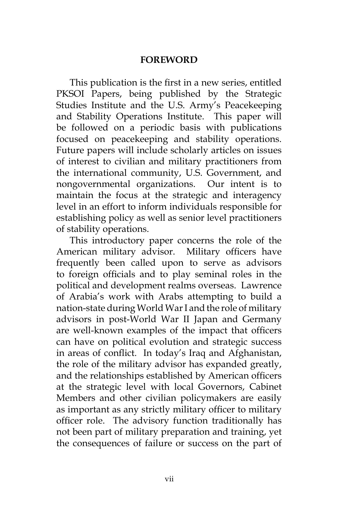### **FOREWORD**

This publication is the first in a new series, entitled PKSOI Papers, being published by the Strategic Studies Institute and the U.S. Army's Peacekeeping and Stability Operations Institute. This paper will be followed on a periodic basis with publications focused on peacekeeping and stability operations. Future papers will include scholarly articles on issues of interest to civilian and military practitioners from the international community, U.S. Government, and nongovernmental organizations. Our intent is to maintain the focus at the strategic and interagency level in an effort to inform individuals responsible for establishing policy as well as senior level practitioners of stability operations.

This introductory paper concerns the role of the American military advisor. Military officers have frequently been called upon to serve as advisors to foreign officials and to play seminal roles in the political and development realms overseas. Lawrence of Arabia's work with Arabs attempting to build a nation-state during World War I and the role of military advisors in post-World War II Japan and Germany are well-known examples of the impact that officers can have on political evolution and strategic success in areas of conflict. In today's Iraq and Afghanistan, the role of the military advisor has expanded greatly, and the relationships established by American officers at the strategic level with local Governors, Cabinet Members and other civilian policymakers are easily as important as any strictly military officer to military officer role. The advisory function traditionally has not been part of military preparation and training, yet the consequences of failure or success on the part of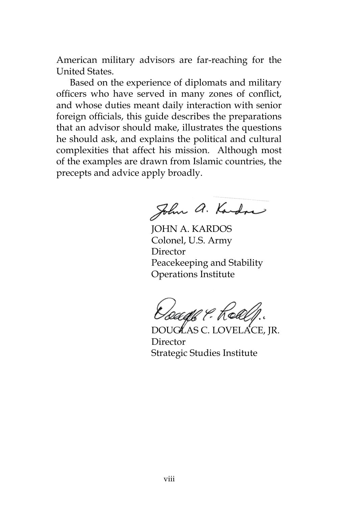American military advisors are far-reaching for the United States.

Based on the experience of diplomats and military officers who have served in many zones of conflict, and whose duties meant daily interaction with senior foreign officials, this guide describes the preparations that an advisor should make, illustrates the questions he should ask, and explains the political and cultural complexities that affect his mission. Although most of the examples are drawn from Islamic countries, the precepts and advice apply broadly.

John a. Kardon

JOHN A. KARDOS Colonel, U.S. Army Director Peacekeeping and Stability Operations Institute

DOUGLAS C. LOVELACE, JR. Director Strategic Studies Institute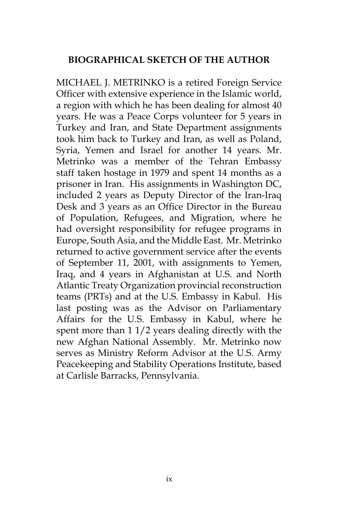## **BIOGRAPHICAL SKETCH OF THE AUTHOR**

MICHAEL J. METRINKO is a retired Foreign Service Officer with extensive experience in the Islamic world, a region with which he has been dealing for almost 40 years. He was a Peace Corps volunteer for 5 years in Turkey and Iran, and State Department assignments took him back to Turkey and Iran, as well as Poland, Syria, Yemen and Israel for another 14 years. Mr. Metrinko was a member of the Tehran Embassy staff taken hostage in 1979 and spent 14 months as a prisoner in Iran. His assignments in Washington DC, included 2 years as Deputy Director of the Iran-Iraq Desk and 3 years as an Office Director in the Bureau of Population, Refugees, and Migration, where he had oversight responsibility for refugee programs in Europe, South Asia, and the Middle East. Mr. Metrinko returned to active government service after the events of September 11, 2001, with assignments to Yemen, Iraq, and 4 years in Afghanistan at U.S. and North Atlantic Treaty Organization provincial reconstruction teams (PRTs) and at the U.S. Embassy in Kabul. His last posting was as the Advisor on Parliamentary Affairs for the U.S. Embassy in Kabul, where he spent more than 1 1/2 years dealing directly with the new Afghan National Assembly. Mr. Metrinko now serves as Ministry Reform Advisor at the U.S. Army Peacekeeping and Stability Operations Institute, based at Carlisle Barracks, Pennsylvania.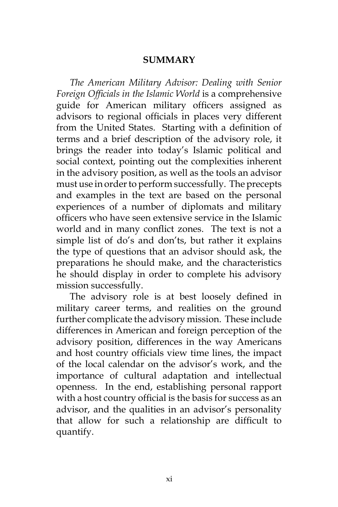#### **SUMMARY**

*The American Military Advisor: Dealing with Senior Foreign Officials in the Islamic World* is a comprehensive guide for American military officers assigned as advisors to regional officials in places very different from the United States. Starting with a definition of terms and a brief description of the advisory role, it brings the reader into today's Islamic political and social context, pointing out the complexities inherent in the advisory position, as well as the tools an advisor must use in order to perform successfully. The precepts and examples in the text are based on the personal experiences of a number of diplomats and military officers who have seen extensive service in the Islamic world and in many conflict zones. The text is not a simple list of do's and don'ts, but rather it explains the type of questions that an advisor should ask, the preparations he should make, and the characteristics he should display in order to complete his advisory mission successfully.

The advisory role is at best loosely defined in military career terms, and realities on the ground further complicate the advisory mission. These include differences in American and foreign perception of the advisory position, differences in the way Americans and host country officials view time lines, the impact of the local calendar on the advisor's work, and the importance of cultural adaptation and intellectual openness. In the end, establishing personal rapport with a host country official is the basis for success as an advisor, and the qualities in an advisor's personality that allow for such a relationship are difficult to quantify.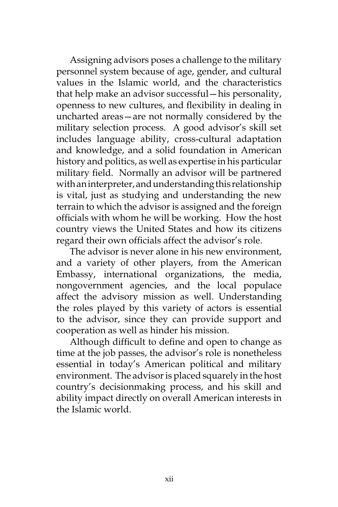Assigning advisors poses a challenge to the military personnel system because of age, gender, and cultural values in the Islamic world, and the characteristics that help make an advisor successful—his personality, openness to new cultures, and flexibility in dealing in uncharted areas—are not normally considered by the military selection process. A good advisor's skill set includes language ability, cross-cultural adaptation and knowledge, and a solid foundation in American history and politics, as well as expertise in his particular military field. Normally an advisor will be partnered with an interpreter, and understanding this relationship is vital, just as studying and understanding the new terrain to which the advisor is assigned and the foreign officials with whom he will be working. How the host country views the United States and how its citizens regard their own officials affect the advisor's role.

The advisor is never alone in his new environment, and a variety of other players, from the American Embassy, international organizations, the media, nongovernment agencies, and the local populace affect the advisory mission as well. Understanding the roles played by this variety of actors is essential to the advisor, since they can provide support and cooperation as well as hinder his mission.

Although difficult to define and open to change as time at the job passes, the advisor's role is nonetheless essential in today's American political and military environment. The advisor is placed squarely in the host country's decisionmaking process, and his skill and ability impact directly on overall American interests in the Islamic world.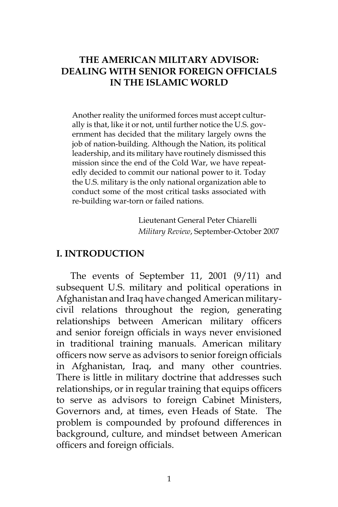## **THE AMERICAN MILITARY ADVISOR: DEALING WITH SENIOR FOREIGN OFFICIALS IN THE ISLAMIC WORLD**

Another reality the uniformed forces must accept culturally is that, like it or not, until further notice the U.S. government has decided that the military largely owns the job of nation-building. Although the Nation, its political leadership, and its military have routinely dismissed this mission since the end of the Cold War, we have repeatedly decided to commit our national power to it. Today the U.S. military is the only national organization able to conduct some of the most critical tasks associated with re-building war-torn or failed nations.

> Lieutenant General Peter Chiarelli  *Military Review*, September-October 2007

#### **I. INTRODUCTION**

The events of September 11, 2001 (9/11) and subsequent U.S. military and political operations in Afghanistan and Iraq have changed American militarycivil relations throughout the region, generating relationships between American military officers and senior foreign officials in ways never envisioned in traditional training manuals. American military officers now serve as advisors to senior foreign officials in Afghanistan, Iraq, and many other countries. There is little in military doctrine that addresses such relationships, or in regular training that equips officers to serve as advisors to foreign Cabinet Ministers, Governors and, at times, even Heads of State. The problem is compounded by profound differences in background, culture, and mindset between American officers and foreign officials.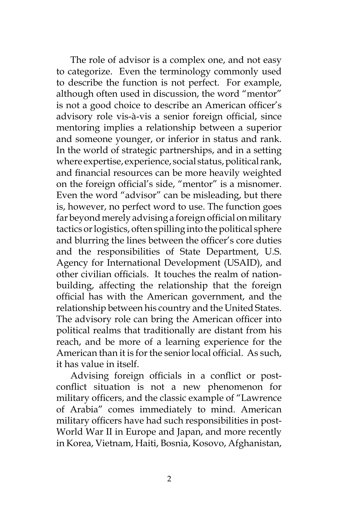The role of advisor is a complex one, and not easy to categorize. Even the terminology commonly used to describe the function is not perfect. For example, although often used in discussion, the word "mentor" is not a good choice to describe an American officer's advisory role vis-à-vis a senior foreign official, since mentoring implies a relationship between a superior and someone younger, or inferior in status and rank. In the world of strategic partnerships, and in a setting where expertise, experience, social status, political rank, and financial resources can be more heavily weighted on the foreign official's side, "mentor" is a misnomer. Even the word "advisor" can be misleading, but there is, however, no perfect word to use. The function goes far beyond merely advising a foreign official on military tactics or logistics, often spilling into the political sphere and blurring the lines between the officer's core duties and the responsibilities of State Department, U.S. Agency for International Development (USAID), and other civilian officials. It touches the realm of nationbuilding, affecting the relationship that the foreign official has with the American government, and the relationship between his country and the United States. The advisory role can bring the American officer into political realms that traditionally are distant from his reach, and be more of a learning experience for the American than it is for the senior local official. As such, it has value in itself.

Advising foreign officials in a conflict or postconflict situation is not a new phenomenon for military officers, and the classic example of "Lawrence of Arabia" comes immediately to mind. American military officers have had such responsibilities in post-World War II in Europe and Japan, and more recently in Korea, Vietnam, Haiti, Bosnia, Kosovo, Afghanistan,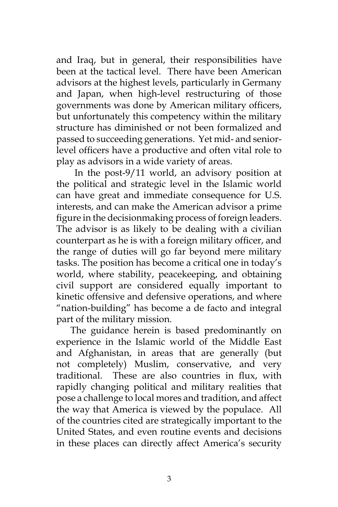and Iraq, but in general, their responsibilities have been at the tactical level. There have been American advisors at the highest levels, particularly in Germany and Japan, when high-level restructuring of those governments was done by American military officers, but unfortunately this competency within the military structure has diminished or not been formalized and passed to succeeding generations. Yet mid- and seniorlevel officers have a productive and often vital role to play as advisors in a wide variety of areas.

 In the post-9/11 world, an advisory position at the political and strategic level in the Islamic world can have great and immediate consequence for U.S. interests, and can make the American advisor a prime figure in the decisionmaking process of foreign leaders. The advisor is as likely to be dealing with a civilian counterpart as he is with a foreign military officer, and the range of duties will go far beyond mere military tasks. The position has become a critical one in today's world, where stability, peacekeeping, and obtaining civil support are considered equally important to kinetic offensive and defensive operations, and where "nation-building" has become a de facto and integral part of the military mission.

The guidance herein is based predominantly on experience in the Islamic world of the Middle East and Afghanistan, in areas that are generally (but not completely) Muslim, conservative, and very traditional. These are also countries in flux, with rapidly changing political and military realities that pose a challenge to local mores and tradition, and affect the way that America is viewed by the populace. All of the countries cited are strategically important to the United States, and even routine events and decisions in these places can directly affect America's security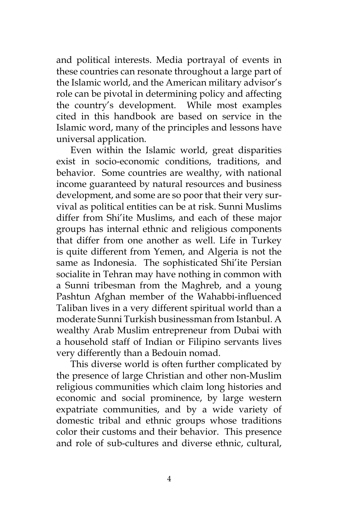and political interests. Media portrayal of events in these countries can resonate throughout a large part of the Islamic world, and the American military advisor's role can be pivotal in determining policy and affecting the country's development. While most examples cited in this handbook are based on service in the Islamic word, many of the principles and lessons have universal application.

Even within the Islamic world, great disparities exist in socio-economic conditions, traditions, and behavior. Some countries are wealthy, with national income guaranteed by natural resources and business development, and some are so poor that their very survival as political entities can be at risk. Sunni Muslims differ from Shi'ite Muslims, and each of these major groups has internal ethnic and religious components that differ from one another as well. Life in Turkey is quite different from Yemen, and Algeria is not the same as Indonesia. The sophisticated Shi'ite Persian socialite in Tehran may have nothing in common with a Sunni tribesman from the Maghreb, and a young Pashtun Afghan member of the Wahabbi-influenced Taliban lives in a very different spiritual world than a moderate Sunni Turkish businessman from Istanbul. A wealthy Arab Muslim entrepreneur from Dubai with a household staff of Indian or Filipino servants lives very differently than a Bedouin nomad.

This diverse world is often further complicated by the presence of large Christian and other non-Muslim religious communities which claim long histories and economic and social prominence, by large western expatriate communities, and by a wide variety of domestic tribal and ethnic groups whose traditions color their customs and their behavior. This presence and role of sub-cultures and diverse ethnic, cultural,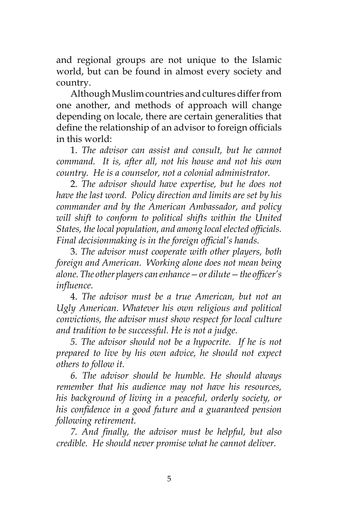and regional groups are not unique to the Islamic world, but can be found in almost every society and country.

Although Muslim countries and cultures differ from one another, and methods of approach will change depending on locale, there are certain generalities that define the relationship of an advisor to foreign officials in this world:

1. *The advisor can assist and consult, but he cannot command. It is, after all, not his house and not his own country. He is a counselor, not a colonial administrator.*

2. *The advisor should have expertise, but he does not have the last word. Policy direction and limits are set by his commander and by the American Ambassador, and policy*  will shift to conform to political shifts within the United *States, the local population, and among local elected officials. Final decisionmaking is in the foreign official's hands.*

3. *The advisor must cooperate with other players, both foreign and American. Working alone does not mean being alone. The other players can enhance—or dilute—the officer's influence.* 

4. *The advisor must be a true American, but not an Ugly American. Whatever his own religious and political convictions, the advisor must show respect for local culture and tradition to be successful. He is not a judge.*

*5. The advisor should not be a hypocrite. If he is not prepared to live by his own advice, he should not expect others to follow it.*

*6. The advisor should be humble. He should always remember that his audience may not have his resources, his background of living in a peaceful, orderly society, or his confidence in a good future and a guaranteed pension following retirement.* 

*7. And finally, the advisor must be helpful, but also credible. He should never promise what he cannot deliver.*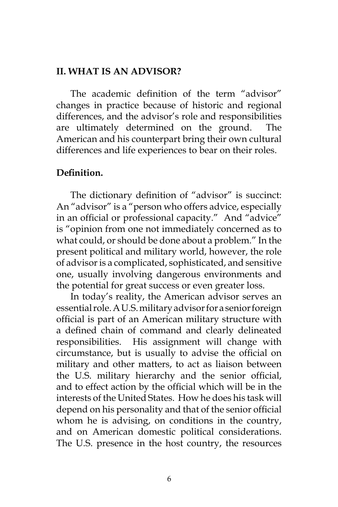#### **II. WHAT IS AN ADVISOR?**

The academic definition of the term "advisor" changes in practice because of historic and regional differences, and the advisor's role and responsibilities are ultimately determined on the ground. The American and his counterpart bring their own cultural differences and life experiences to bear on their roles.

#### **Definition.**

The dictionary definition of "advisor" is succinct: An "advisor" is a "person who offers advice, especially in an official or professional capacity." And "advice" is "opinion from one not immediately concerned as to what could, or should be done about a problem." In the present political and military world, however, the role of advisor is a complicated, sophisticated, and sensitive one, usually involving dangerous environments and the potential for great success or even greater loss.

In today's reality, the American advisor serves an essential role. A U.S. military advisor for a senior foreign official is part of an American military structure with a defined chain of command and clearly delineated responsibilities. His assignment will change with circumstance, but is usually to advise the official on military and other matters, to act as liaison between the U.S. military hierarchy and the senior official, and to effect action by the official which will be in the interests of the United States. How he does his task will depend on his personality and that of the senior official whom he is advising, on conditions in the country, and on American domestic political considerations. The U.S. presence in the host country, the resources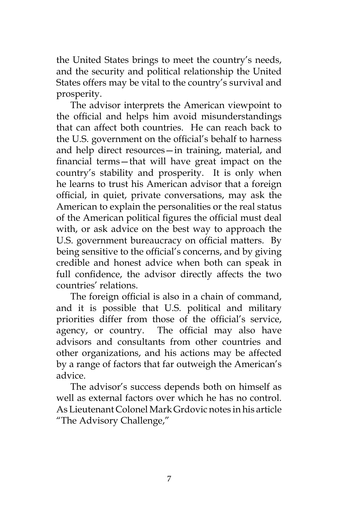the United States brings to meet the country's needs, and the security and political relationship the United States offers may be vital to the country's survival and prosperity.

The advisor interprets the American viewpoint to the official and helps him avoid misunderstandings that can affect both countries. He can reach back to the U.S. government on the official's behalf to harness and help direct resources—in training, material, and financial terms—that will have great impact on the country's stability and prosperity. It is only when he learns to trust his American advisor that a foreign official, in quiet, private conversations, may ask the American to explain the personalities or the real status of the American political figures the official must deal with, or ask advice on the best way to approach the U.S. government bureaucracy on official matters. By being sensitive to the official's concerns, and by giving credible and honest advice when both can speak in full confidence, the advisor directly affects the two countries' relations.

The foreign official is also in a chain of command, and it is possible that U.S. political and military priorities differ from those of the official's service, agency, or country. The official may also have advisors and consultants from other countries and other organizations, and his actions may be affected by a range of factors that far outweigh the American's advice.

The advisor's success depends both on himself as well as external factors over which he has no control. As Lieutenant Colonel Mark Grdovic notes in his article "The Advisory Challenge,"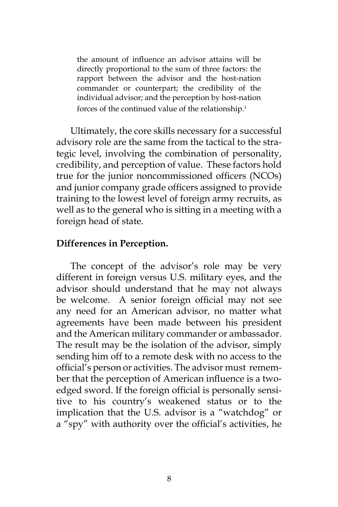the amount of influence an advisor attains will be directly proportional to the sum of three factors: the rapport between the advisor and the host-nation commander or counterpart; the credibility of the individual advisor; and the perception by host-nation forces of the continued value of the relationship.<sup>1</sup>

Ultimately, the core skills necessary for a successful advisory role are the same from the tactical to the strategic level, involving the combination of personality, credibility, and perception of value. These factors hold true for the junior noncommissioned officers (NCOs) and junior company grade officers assigned to provide training to the lowest level of foreign army recruits, as well as to the general who is sitting in a meeting with a foreign head of state.

#### **Differences in Perception.**

The concept of the advisor's role may be very different in foreign versus U.S. military eyes, and the advisor should understand that he may not always be welcome. A senior foreign official may not see any need for an American advisor, no matter what agreements have been made between his president and the American military commander or ambassador. The result may be the isolation of the advisor, simply sending him off to a remote desk with no access to the official's person or activities. The advisor must remember that the perception of American influence is a twoedged sword. If the foreign official is personally sensitive to his country's weakened status or to the implication that the U.S. advisor is a "watchdog" or a "spy" with authority over the official's activities, he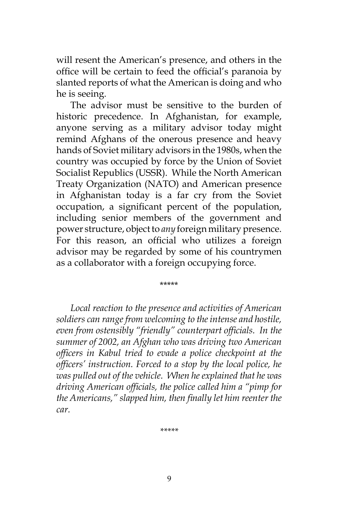will resent the American's presence, and others in the office will be certain to feed the official's paranoia by slanted reports of what the American is doing and who he is seeing.

The advisor must be sensitive to the burden of historic precedence. In Afghanistan, for example, anyone serving as a military advisor today might remind Afghans of the onerous presence and heavy hands of Soviet military advisors in the 1980s, when the country was occupied by force by the Union of Soviet Socialist Republics (USSR). While the North American Treaty Organization (NATO) and American presence in Afghanistan today is a far cry from the Soviet occupation, a significant percent of the population, including senior members of the government and power structure, object to *any* foreign military presence. For this reason, an official who utilizes a foreign advisor may be regarded by some of his countrymen as a collaborator with a foreign occupying force.

\*\*\*\*\*

*Local reaction to the presence and activities of American soldiers can range from welcoming to the intense and hostile, even from ostensibly "friendly" counterpart officials. In the summer of 2002, an Afghan who was driving two American officers in Kabul tried to evade a police checkpoint at the officers' instruction. Forced to a stop by the local police, he was pulled out of the vehicle. When he explained that he was driving American officials, the police called him a "pimp for the Americans," slapped him, then finally let him reenter the car.*

*\*\*\*\*\**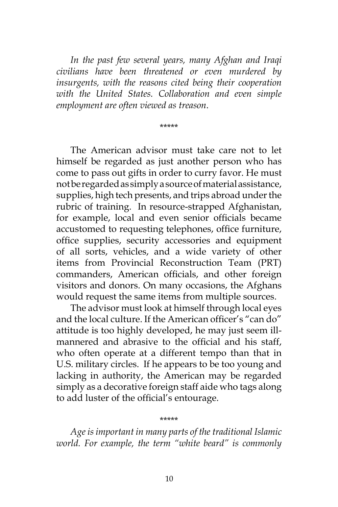*In the past few several years, many Afghan and Iraqi civilians have been threatened or even murdered by insurgents, with the reasons cited being their cooperation with the United States. Collaboration and even simple employment are often viewed as treason*.

\*\*\*\*\*

The American advisor must take care not to let himself be regarded as just another person who has come to pass out gifts in order to curry favor. He must not be regarded as simply a source of material assistance, supplies, high tech presents, and trips abroad under the rubric of training. In resource-strapped Afghanistan, for example, local and even senior officials became accustomed to requesting telephones, office furniture, office supplies, security accessories and equipment of all sorts, vehicles, and a wide variety of other items from Provincial Reconstruction Team (PRT) commanders, American officials, and other foreign visitors and donors. On many occasions, the Afghans would request the same items from multiple sources.

The advisor must look at himself through local eyes and the local culture. If the American officer's "can do" attitude is too highly developed, he may just seem illmannered and abrasive to the official and his staff, who often operate at a different tempo than that in U.S. military circles. If he appears to be too young and lacking in authority, the American may be regarded simply as a decorative foreign staff aide who tags along to add luster of the official's entourage.

*Age is important in many parts of the traditional Islamic world. For example, the term "white beard" is commonly* 

\*\*\*\*\*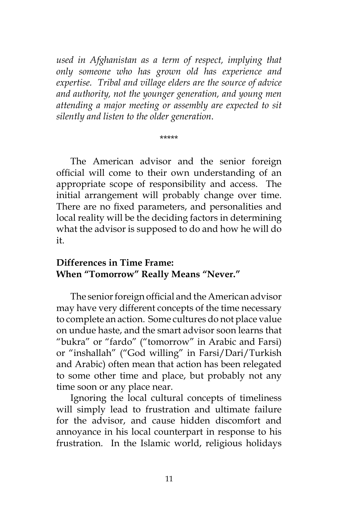*used in Afghanistan as a term of respect, implying that only someone who has grown old has experience and expertise. Tribal and village elders are the source of advice and authority, not the younger generation, and young men attending a major meeting or assembly are expected to sit silently and listen to the older generation*.

\*\*\*\*\*

The American advisor and the senior foreign official will come to their own understanding of an appropriate scope of responsibility and access. The initial arrangement will probably change over time. There are no fixed parameters, and personalities and local reality will be the deciding factors in determining what the advisor is supposed to do and how he will do it.

## **Differences in Time Frame: When "Tomorrow" Really Means "Never."**

The senior foreign official and the American advisor may have very different concepts of the time necessary to complete an action. Some cultures do not place value on undue haste, and the smart advisor soon learns that "bukra" or "fardo" ("tomorrow" in Arabic and Farsi) or "inshallah" ("God willing" in Farsi/Dari/Turkish and Arabic) often mean that action has been relegated to some other time and place, but probably not any time soon or any place near.

Ignoring the local cultural concepts of timeliness will simply lead to frustration and ultimate failure for the advisor, and cause hidden discomfort and annoyance in his local counterpart in response to his frustration. In the Islamic world, religious holidays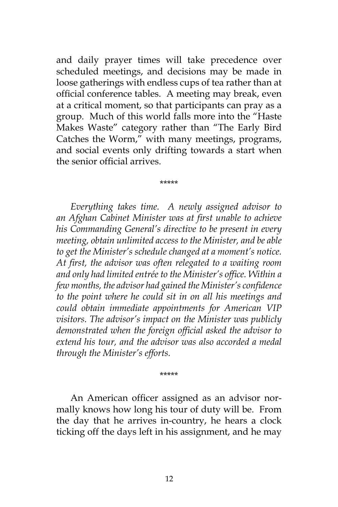and daily prayer times will take precedence over scheduled meetings, and decisions may be made in loose gatherings with endless cups of tea rather than at official conference tables. A meeting may break, even at a critical moment, so that participants can pray as a group. Much of this world falls more into the "Haste Makes Waste" category rather than "The Early Bird Catches the Worm," with many meetings, programs, and social events only drifting towards a start when the senior official arrives.

\*\*\*\*\*

*Everything takes time. A newly assigned advisor to an Afghan Cabinet Minister was at first unable to achieve his Commanding General's directive to be present in every meeting, obtain unlimited access to the Minister, and be able to get the Minister's schedule changed at a moment's notice. At first, the advisor was often relegated to a waiting room and only had limited entrée to the Minister's office. Within a few months, the advisor had gained the Minister's confidence to the point where he could sit in on all his meetings and could obtain immediate appointments for American VIP visitors. The advisor's impact on the Minister was publicly demonstrated when the foreign official asked the advisor to extend his tour, and the advisor was also accorded a medal through the Minister's efforts.* 

\*\*\*\*\*

An American officer assigned as an advisor normally knows how long his tour of duty will be. From the day that he arrives in-country, he hears a clock ticking off the days left in his assignment, and he may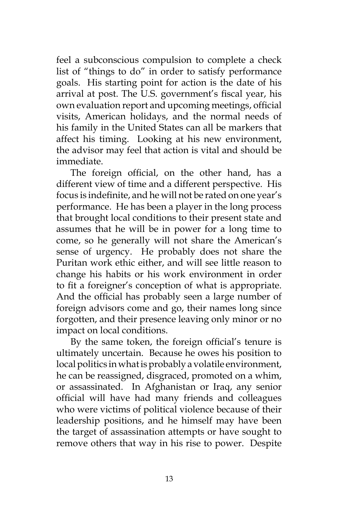feel a subconscious compulsion to complete a check list of "things to do" in order to satisfy performance goals. His starting point for action is the date of his arrival at post. The U.S. government's fiscal year, his own evaluation report and upcoming meetings, official visits, American holidays, and the normal needs of his family in the United States can all be markers that affect his timing. Looking at his new environment, the advisor may feel that action is vital and should be immediate.

The foreign official, on the other hand, has a different view of time and a different perspective. His focus is indefinite, and he will not be rated on one year's performance. He has been a player in the long process that brought local conditions to their present state and assumes that he will be in power for a long time to come, so he generally will not share the American's sense of urgency. He probably does not share the Puritan work ethic either, and will see little reason to change his habits or his work environment in order to fit a foreigner's conception of what is appropriate. And the official has probably seen a large number of foreign advisors come and go, their names long since forgotten, and their presence leaving only minor or no impact on local conditions.

By the same token, the foreign official's tenure is ultimately uncertain. Because he owes his position to local politics in what is probably a volatile environment, he can be reassigned, disgraced, promoted on a whim, or assassinated. In Afghanistan or Iraq, any senior official will have had many friends and colleagues who were victims of political violence because of their leadership positions, and he himself may have been the target of assassination attempts or have sought to remove others that way in his rise to power. Despite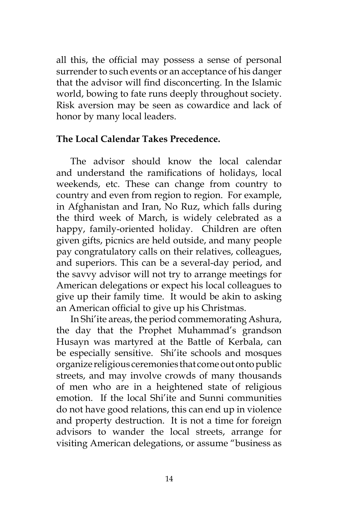all this, the official may possess a sense of personal surrender to such events or an acceptance of his danger that the advisor will find disconcerting. In the Islamic world, bowing to fate runs deeply throughout society. Risk aversion may be seen as cowardice and lack of honor by many local leaders.

## **The Local Calendar Takes Precedence.**

The advisor should know the local calendar and understand the ramifications of holidays, local weekends, etc. These can change from country to country and even from region to region. For example, in Afghanistan and Iran, No Ruz, which falls during the third week of March, is widely celebrated as a happy, family-oriented holiday. Children are often given gifts, picnics are held outside, and many people pay congratulatory calls on their relatives, colleagues, and superiors. This can be a several-day period, and the savvy advisor will not try to arrange meetings for American delegations or expect his local colleagues to give up their family time. It would be akin to asking an American official to give up his Christmas.

In Shi'ite areas, the period commemorating Ashura, the day that the Prophet Muhammad's grandson Husayn was martyred at the Battle of Kerbala, can be especially sensitive. Shi'ite schools and mosques organize religious ceremonies that come out onto public streets, and may involve crowds of many thousands of men who are in a heightened state of religious emotion. If the local Shi'ite and Sunni communities do not have good relations, this can end up in violence and property destruction. It is not a time for foreign advisors to wander the local streets, arrange for visiting American delegations, or assume "business as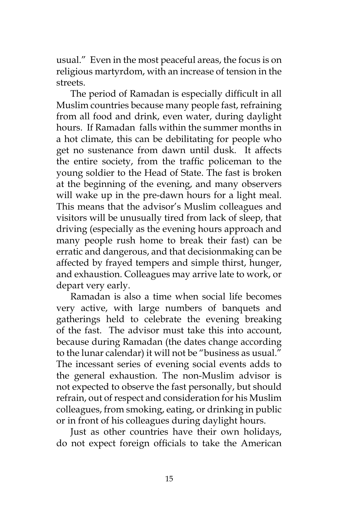usual." Even in the most peaceful areas, the focus is on religious martyrdom, with an increase of tension in the streets.

The period of Ramadan is especially difficult in all Muslim countries because many people fast, refraining from all food and drink, even water, during daylight hours. If Ramadan falls within the summer months in a hot climate, this can be debilitating for people who get no sustenance from dawn until dusk. It affects the entire society, from the traffic policeman to the young soldier to the Head of State. The fast is broken at the beginning of the evening, and many observers will wake up in the pre-dawn hours for a light meal. This means that the advisor's Muslim colleagues and visitors will be unusually tired from lack of sleep, that driving (especially as the evening hours approach and many people rush home to break their fast) can be erratic and dangerous, and that decisionmaking can be affected by frayed tempers and simple thirst, hunger, and exhaustion. Colleagues may arrive late to work, or depart very early.

Ramadan is also a time when social life becomes very active, with large numbers of banquets and gatherings held to celebrate the evening breaking of the fast. The advisor must take this into account, because during Ramadan (the dates change according to the lunar calendar) it will not be "business as usual." The incessant series of evening social events adds to the general exhaustion. The non-Muslim advisor is not expected to observe the fast personally, but should refrain, out of respect and consideration for his Muslim colleagues, from smoking, eating, or drinking in public or in front of his colleagues during daylight hours.

Just as other countries have their own holidays, do not expect foreign officials to take the American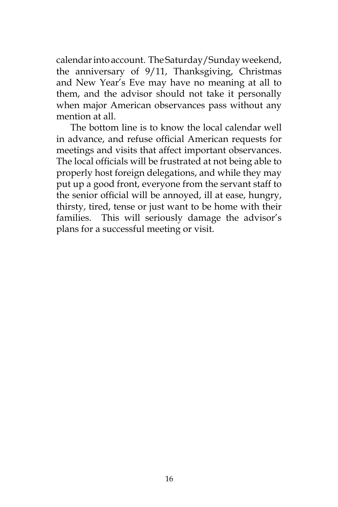calendar into account. The Saturday/Sunday weekend, the anniversary of 9/11, Thanksgiving, Christmas and New Year's Eve may have no meaning at all to them, and the advisor should not take it personally when major American observances pass without any mention at all.

The bottom line is to know the local calendar well in advance, and refuse official American requests for meetings and visits that affect important observances. The local officials will be frustrated at not being able to properly host foreign delegations, and while they may put up a good front, everyone from the servant staff to the senior official will be annoyed, ill at ease, hungry, thirsty, tired, tense or just want to be home with their families. This will seriously damage the advisor's plans for a successful meeting or visit.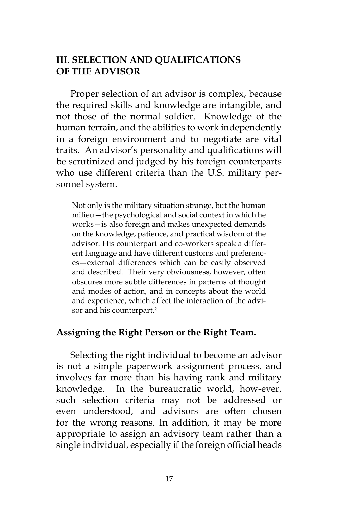## **III. SELECTION AND QUALIFICATIONS OF THE ADVISOR**

Proper selection of an advisor is complex, because the required skills and knowledge are intangible, and not those of the normal soldier. Knowledge of the human terrain, and the abilities to work independently in a foreign environment and to negotiate are vital traits. An advisor's personality and qualifications will be scrutinized and judged by his foreign counterparts who use different criteria than the U.S. military personnel system.

Not only is the military situation strange, but the human milieu—the psychological and social context in which he works—is also foreign and makes unexpected demands on the knowledge, patience, and practical wisdom of the advisor. His counterpart and co-workers speak a different language and have different customs and preferences—external differences which can be easily observed and described. Their very obviousness, however, often obscures more subtle differences in patterns of thought and modes of action, and in concepts about the world and experience, which affect the interaction of the advisor and his counterpart.2

#### **Assigning the Right Person or the Right Team.**

Selecting the right individual to become an advisor is not a simple paperwork assignment process, and involves far more than his having rank and military knowledge. In the bureaucratic world, how-ever, such selection criteria may not be addressed or even understood, and advisors are often chosen for the wrong reasons. In addition, it may be more appropriate to assign an advisory team rather than a single individual, especially if the foreign official heads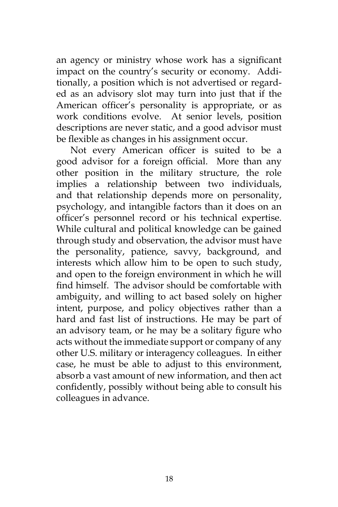an agency or ministry whose work has a significant impact on the country's security or economy. Additionally, a position which is not advertised or regarded as an advisory slot may turn into just that if the American officer's personality is appropriate, or as work conditions evolve. At senior levels, position descriptions are never static, and a good advisor must be flexible as changes in his assignment occur.

Not every American officer is suited to be a good advisor for a foreign official. More than any other position in the military structure, the role implies a relationship between two individuals, and that relationship depends more on personality, psychology, and intangible factors than it does on an officer's personnel record or his technical expertise. While cultural and political knowledge can be gained through study and observation, the advisor must have the personality, patience, savvy, background, and interests which allow him to be open to such study, and open to the foreign environment in which he will find himself. The advisor should be comfortable with ambiguity, and willing to act based solely on higher intent, purpose, and policy objectives rather than a hard and fast list of instructions. He may be part of an advisory team, or he may be a solitary figure who acts without the immediate support or company of any other U.S. military or interagency colleagues. In either case, he must be able to adjust to this environment, absorb a vast amount of new information, and then act confidently, possibly without being able to consult his colleagues in advance.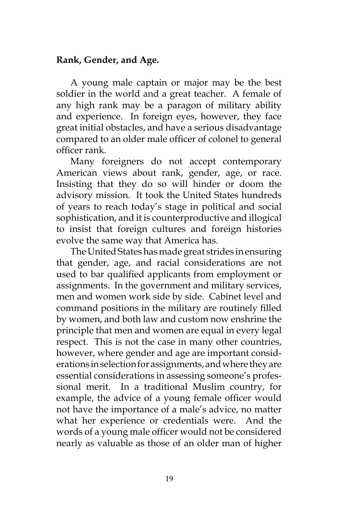## **Rank, Gender, and Age.**

A young male captain or major may be the best soldier in the world and a great teacher. A female of any high rank may be a paragon of military ability and experience. In foreign eyes, however, they face great initial obstacles, and have a serious disadvantage compared to an older male officer of colonel to general officer rank.

Many foreigners do not accept contemporary American views about rank, gender, age, or race. Insisting that they do so will hinder or doom the advisory mission. It took the United States hundreds of years to reach today's stage in political and social sophistication, and it is counterproductive and illogical to insist that foreign cultures and foreign histories evolve the same way that America has.

The United States has made great strides in ensuring that gender, age, and racial considerations are not used to bar qualified applicants from employment or assignments. In the government and military services, men and women work side by side. Cabinet level and command positions in the military are routinely filled by women, and both law and custom now enshrine the principle that men and women are equal in every legal respect. This is not the case in many other countries, however, where gender and age are important considerations in selection for assignments, and where they are essential considerations in assessing someone's professional merit. In a traditional Muslim country, for example, the advice of a young female officer would not have the importance of a male's advice, no matter what her experience or credentials were. And the words of a young male officer would not be considered nearly as valuable as those of an older man of higher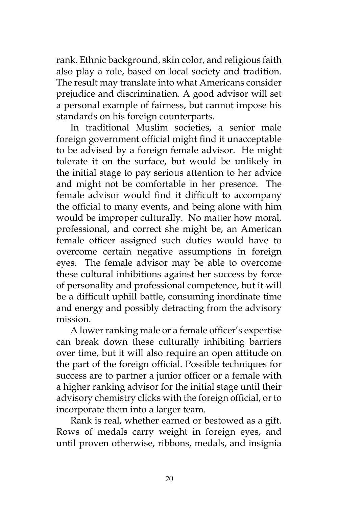rank. Ethnic background, skin color, and religious faith also play a role, based on local society and tradition. The result may translate into what Americans consider prejudice and discrimination. A good advisor will set a personal example of fairness, but cannot impose his standards on his foreign counterparts.

In traditional Muslim societies, a senior male foreign government official might find it unacceptable to be advised by a foreign female advisor. He might tolerate it on the surface, but would be unlikely in the initial stage to pay serious attention to her advice and might not be comfortable in her presence. The female advisor would find it difficult to accompany the official to many events, and being alone with him would be improper culturally. No matter how moral, professional, and correct she might be, an American female officer assigned such duties would have to overcome certain negative assumptions in foreign eyes. The female advisor may be able to overcome these cultural inhibitions against her success by force of personality and professional competence, but it will be a difficult uphill battle, consuming inordinate time and energy and possibly detracting from the advisory mission.

A lower ranking male or a female officer's expertise can break down these culturally inhibiting barriers over time, but it will also require an open attitude on the part of the foreign official. Possible techniques for success are to partner a junior officer or a female with a higher ranking advisor for the initial stage until their advisory chemistry clicks with the foreign official, or to incorporate them into a larger team.

Rank is real, whether earned or bestowed as a gift. Rows of medals carry weight in foreign eyes, and until proven otherwise, ribbons, medals, and insignia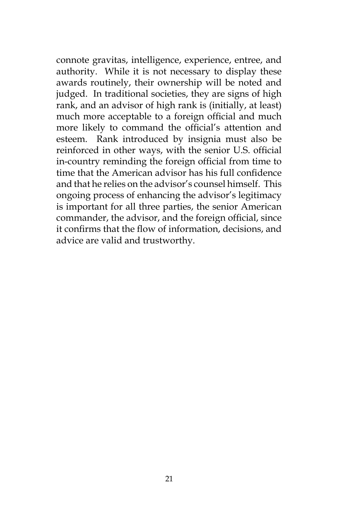connote gravitas, intelligence, experience, entree, and authority. While it is not necessary to display these awards routinely, their ownership will be noted and judged. In traditional societies, they are signs of high rank, and an advisor of high rank is (initially, at least) much more acceptable to a foreign official and much more likely to command the official's attention and esteem. Rank introduced by insignia must also be reinforced in other ways, with the senior U.S. official in-country reminding the foreign official from time to time that the American advisor has his full confidence and that he relies on the advisor's counsel himself. This ongoing process of enhancing the advisor's legitimacy is important for all three parties, the senior American commander, the advisor, and the foreign official, since it confirms that the flow of information, decisions, and advice are valid and trustworthy.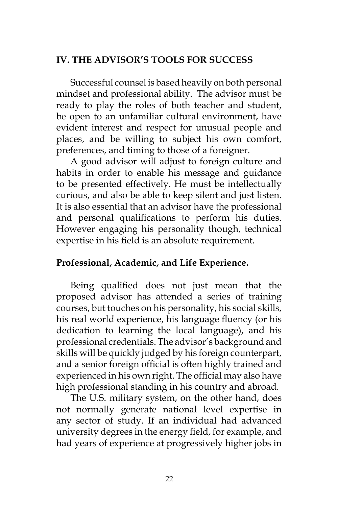## **IV. THE ADVISOR'S TOOLS FOR SUCCESS**

Successful counsel is based heavily on both personal mindset and professional ability. The advisor must be ready to play the roles of both teacher and student, be open to an unfamiliar cultural environment, have evident interest and respect for unusual people and places, and be willing to subject his own comfort, preferences, and timing to those of a foreigner.

A good advisor will adjust to foreign culture and habits in order to enable his message and guidance to be presented effectively. He must be intellectually curious, and also be able to keep silent and just listen. It is also essential that an advisor have the professional and personal qualifications to perform his duties. However engaging his personality though, technical expertise in his field is an absolute requirement.

## **Professional, Academic, and Life Experience.**

Being qualified does not just mean that the proposed advisor has attended a series of training courses, but touches on his personality, his social skills, his real world experience, his language fluency (or his dedication to learning the local language), and his professional credentials. The advisor's background and skills will be quickly judged by his foreign counterpart, and a senior foreign official is often highly trained and experienced in his own right. The official may also have high professional standing in his country and abroad.

The U.S. military system, on the other hand, does not normally generate national level expertise in any sector of study. If an individual had advanced university degrees in the energy field, for example, and had years of experience at progressively higher jobs in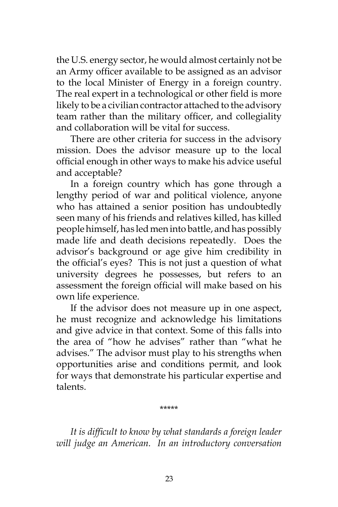the U.S. energy sector, he would almost certainly not be an Army officer available to be assigned as an advisor to the local Minister of Energy in a foreign country. The real expert in a technological or other field is more likely to be a civilian contractor attached to the advisory team rather than the military officer, and collegiality and collaboration will be vital for success.

There are other criteria for success in the advisory mission. Does the advisor measure up to the local official enough in other ways to make his advice useful and acceptable?

In a foreign country which has gone through a lengthy period of war and political violence, anyone who has attained a senior position has undoubtedly seen many of his friends and relatives killed, has killed people himself, has led men into battle, and has possibly made life and death decisions repeatedly. Does the advisor's background or age give him credibility in the official's eyes? This is not just a question of what university degrees he possesses, but refers to an assessment the foreign official will make based on his own life experience.

If the advisor does not measure up in one aspect, he must recognize and acknowledge his limitations and give advice in that context. Some of this falls into the area of "how he advises" rather than "what he advises." The advisor must play to his strengths when opportunities arise and conditions permit, and look for ways that demonstrate his particular expertise and talents.

\*\*\*\*\*

*It is difficult to know by what standards a foreign leader will judge an American. In an introductory conversation*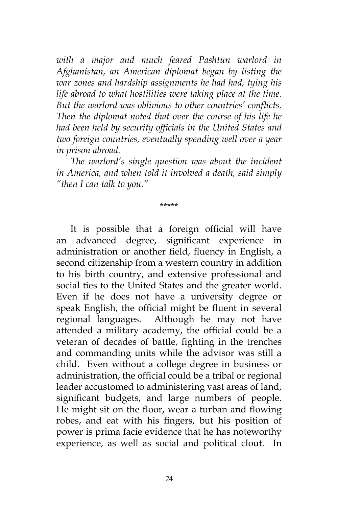*with a major and much feared Pashtun warlord in Afghanistan, an American diplomat began by listing the war zones and hardship assignments he had had, tying his life abroad to what hostilities were taking place at the time. But the warlord was oblivious to other countries' conflicts. Then the diplomat noted that over the course of his life he had been held by security officials in the United States and two foreign countries, eventually spending well over a year in prison abroad.*

*The warlord's single question was about the incident in America, and when told it involved a death, said simply "then I can talk to you."*

\*\*\*\*\*

It is possible that a foreign official will have an advanced degree, significant experience in administration or another field, fluency in English, a second citizenship from a western country in addition to his birth country, and extensive professional and social ties to the United States and the greater world. Even if he does not have a university degree or speak English, the official might be fluent in several regional languages. Although he may not have attended a military academy, the official could be a veteran of decades of battle, fighting in the trenches and commanding units while the advisor was still a child. Even without a college degree in business or administration, the official could be a tribal or regional leader accustomed to administering vast areas of land, significant budgets, and large numbers of people. He might sit on the floor, wear a turban and flowing robes, and eat with his fingers, but his position of power is prima facie evidence that he has noteworthy experience, as well as social and political clout. In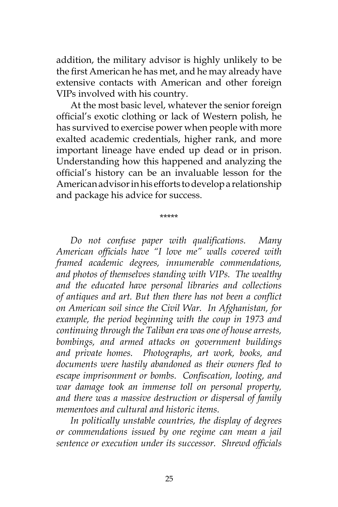addition, the military advisor is highly unlikely to be the first American he has met, and he may already have extensive contacts with American and other foreign VIPs involved with his country.

At the most basic level, whatever the senior foreign official's exotic clothing or lack of Western polish, he has survived to exercise power when people with more exalted academic credentials, higher rank, and more important lineage have ended up dead or in prison. Understanding how this happened and analyzing the official's history can be an invaluable lesson for the American advisor in his efforts to develop a relationship and package his advice for success.

\*\*\*\*\*

*Do not confuse paper with qualifications. Many American officials have "I love me" walls covered with framed academic degrees, innumerable commendations, and photos of themselves standing with VIPs. The wealthy and the educated have personal libraries and collections of antiques and art. But then there has not been a conflict on American soil since the Civil War. In Afghanistan, for example, the period beginning with the coup in 1973 and continuing through the Taliban era was one of house arrests, bombings, and armed attacks on government buildings and private homes. Photographs, art work, books, and documents were hastily abandoned as their owners fled to escape imprisonment or bombs. Confiscation, looting, and war damage took an immense toll on personal property, and there was a massive destruction or dispersal of family mementoes and cultural and historic items.* 

*In politically unstable countries, the display of degrees or commendations issued by one regime can mean a jail sentence or execution under its successor. Shrewd officials*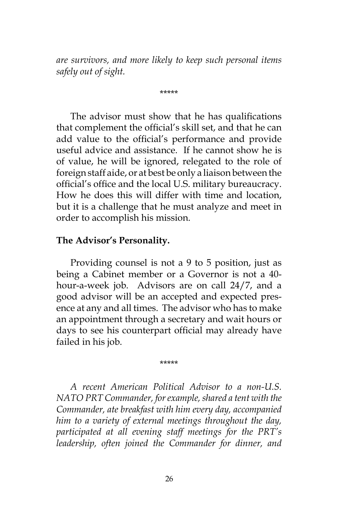*are survivors, and more likely to keep such personal items safely out of sight.*

\*\*\*\*\*

The advisor must show that he has qualifications that complement the official's skill set, and that he can add value to the official's performance and provide useful advice and assistance. If he cannot show he is of value, he will be ignored, relegated to the role of foreign staff aide, or at best be only a liaison between the official's office and the local U.S. military bureaucracy. How he does this will differ with time and location, but it is a challenge that he must analyze and meet in order to accomplish his mission.

#### **The Advisor's Personality.**

Providing counsel is not a 9 to 5 position, just as being a Cabinet member or a Governor is not a 40 hour-a-week job. Advisors are on call 24/7, and a good advisor will be an accepted and expected presence at any and all times. The advisor who has to make an appointment through a secretary and wait hours or days to see his counterpart official may already have failed in his job.

\*\*\*\*\*

*A recent American Political Advisor to a non-U.S. NATO PRT Commander, for example, shared a tent with the Commander, ate breakfast with him every day, accompanied him to a variety of external meetings throughout the day, participated at all evening staff meetings for the PRT's leadership, often joined the Commander for dinner, and*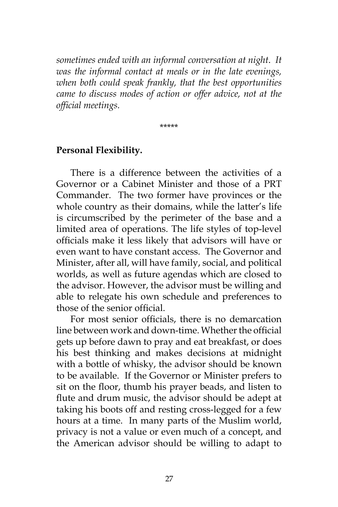*sometimes ended with an informal conversation at night*. *It was the informal contact at meals or in the late evenings, when both could speak frankly, that the best opportunities came to discuss modes of action or offer advice, not at the official meetings.* 

\*\*\*\*\*

#### **Personal Flexibility.**

There is a difference between the activities of a Governor or a Cabinet Minister and those of a PRT Commander. The two former have provinces or the whole country as their domains, while the latter's life is circumscribed by the perimeter of the base and a limited area of operations. The life styles of top-level officials make it less likely that advisors will have or even want to have constant access. The Governor and Minister, after all, will have family, social, and political worlds, as well as future agendas which are closed to the advisor. However, the advisor must be willing and able to relegate his own schedule and preferences to those of the senior official.

For most senior officials, there is no demarcation line between work and down-time. Whether the official gets up before dawn to pray and eat breakfast, or does his best thinking and makes decisions at midnight with a bottle of whisky, the advisor should be known to be available. If the Governor or Minister prefers to sit on the floor, thumb his prayer beads, and listen to flute and drum music, the advisor should be adept at taking his boots off and resting cross-legged for a few hours at a time. In many parts of the Muslim world, privacy is not a value or even much of a concept, and the American advisor should be willing to adapt to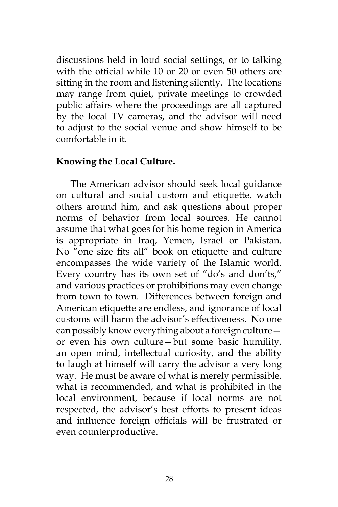discussions held in loud social settings, or to talking with the official while 10 or 20 or even 50 others are sitting in the room and listening silently. The locations may range from quiet, private meetings to crowded public affairs where the proceedings are all captured by the local TV cameras, and the advisor will need to adjust to the social venue and show himself to be comfortable in it.

#### **Knowing the Local Culture.**

The American advisor should seek local guidance on cultural and social custom and etiquette, watch others around him, and ask questions about proper norms of behavior from local sources. He cannot assume that what goes for his home region in America is appropriate in Iraq, Yemen, Israel or Pakistan. No "one size fits all" book on etiquette and culture encompasses the wide variety of the Islamic world. Every country has its own set of "do's and don'ts," and various practices or prohibitions may even change from town to town. Differences between foreign and American etiquette are endless, and ignorance of local customs will harm the advisor's effectiveness. No one can possibly know everything about a foreign culture or even his own culture—but some basic humility, an open mind, intellectual curiosity, and the ability to laugh at himself will carry the advisor a very long way. He must be aware of what is merely permissible, what is recommended, and what is prohibited in the local environment, because if local norms are not respected, the advisor's best efforts to present ideas and influence foreign officials will be frustrated or even counterproductive.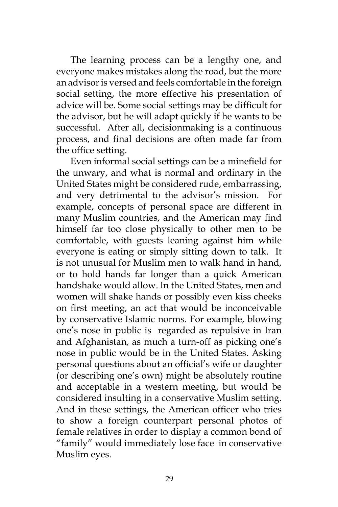The learning process can be a lengthy one, and everyone makes mistakes along the road, but the more an advisor is versed and feels comfortable in the foreign social setting, the more effective his presentation of advice will be. Some social settings may be difficult for the advisor, but he will adapt quickly if he wants to be successful. After all, decisionmaking is a continuous process, and final decisions are often made far from the office setting.

Even informal social settings can be a minefield for the unwary, and what is normal and ordinary in the United States might be considered rude, embarrassing, and very detrimental to the advisor's mission. For example, concepts of personal space are different in many Muslim countries, and the American may find himself far too close physically to other men to be comfortable, with guests leaning against him while everyone is eating or simply sitting down to talk. It is not unusual for Muslim men to walk hand in hand, or to hold hands far longer than a quick American handshake would allow. In the United States, men and women will shake hands or possibly even kiss cheeks on first meeting, an act that would be inconceivable by conservative Islamic norms. For example, blowing one's nose in public is regarded as repulsive in Iran and Afghanistan, as much a turn-off as picking one's nose in public would be in the United States. Asking personal questions about an official's wife or daughter (or describing one's own) might be absolutely routine and acceptable in a western meeting, but would be considered insulting in a conservative Muslim setting. And in these settings, the American officer who tries to show a foreign counterpart personal photos of female relatives in order to display a common bond of "family" would immediately lose face in conservative Muslim eyes.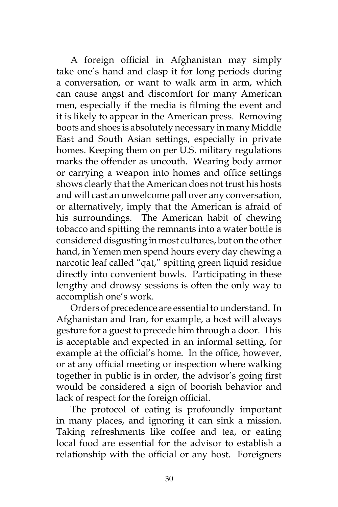A foreign official in Afghanistan may simply take one's hand and clasp it for long periods during a conversation, or want to walk arm in arm, which can cause angst and discomfort for many American men, especially if the media is filming the event and it is likely to appear in the American press. Removing boots and shoes is absolutely necessary in many Middle East and South Asian settings, especially in private homes. Keeping them on per U.S. military regulations marks the offender as uncouth. Wearing body armor or carrying a weapon into homes and office settings shows clearly that the American does not trust his hosts and will cast an unwelcome pall over any conversation, or alternatively, imply that the American is afraid of his surroundings. The American habit of chewing tobacco and spitting the remnants into a water bottle is considered disgusting in most cultures, but on the other hand, in Yemen men spend hours every day chewing a narcotic leaf called "qat," spitting green liquid residue directly into convenient bowls. Participating in these lengthy and drowsy sessions is often the only way to accomplish one's work.

Orders of precedence are essential to understand. In Afghanistan and Iran, for example, a host will always gesture for a guest to precede him through a door. This is acceptable and expected in an informal setting, for example at the official's home. In the office, however, or at any official meeting or inspection where walking together in public is in order, the advisor's going first would be considered a sign of boorish behavior and lack of respect for the foreign official.

The protocol of eating is profoundly important in many places, and ignoring it can sink a mission. Taking refreshments like coffee and tea, or eating local food are essential for the advisor to establish a relationship with the official or any host. Foreigners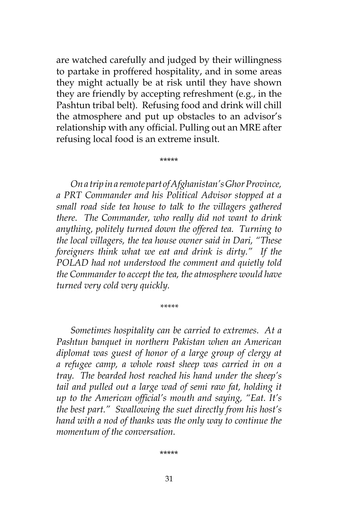are watched carefully and judged by their willingness to partake in proffered hospitality, and in some areas they might actually be at risk until they have shown they are friendly by accepting refreshment (e.g., in the Pashtun tribal belt). Refusing food and drink will chill the atmosphere and put up obstacles to an advisor's relationship with any official. Pulling out an MRE after refusing local food is an extreme insult.

\*\*\*\*\*

*On a trip in a remote part of Afghanistan's Ghor Province, a PRT Commander and his Political Advisor stopped at a small road side tea house to talk to the villagers gathered there. The Commander, who really did not want to drink anything, politely turned down the offered tea. Turning to the local villagers, the tea house owner said in Dari, "These foreigners think what we eat and drink is dirty." If the POLAD had not understood the comment and quietly told the Commander to accept the tea, the atmosphere would have turned very cold very quickly.*

*\*\*\*\*\**

*Sometimes hospitality can be carried to extremes. At a Pashtun banquet in northern Pakistan when an American diplomat was guest of honor of a large group of clergy at a refugee camp, a whole roast sheep was carried in on a tray. The bearded host reached his hand under the sheep's tail and pulled out a large wad of semi raw fat, holding it up to the American official's mouth and saying, "Eat. It's the best part." Swallowing the suet directly from his host's hand with a nod of thanks was the only way to continue the momentum of the conversation.*

\*\*\*\*\*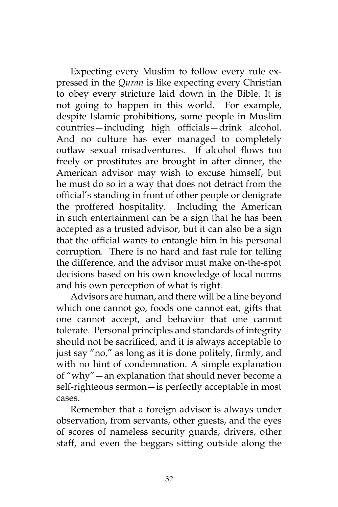Expecting every Muslim to follow every rule expressed in the *Quran* is like expecting every Christian to obey every stricture laid down in the Bible. It is not going to happen in this world. For example, despite Islamic prohibitions, some people in Muslim countries—including high officials—drink alcohol. And no culture has ever managed to completely outlaw sexual misadventures. If alcohol flows too freely or prostitutes are brought in after dinner, the American advisor may wish to excuse himself, but he must do so in a way that does not detract from the official's standing in front of other people or denigrate the proffered hospitality. Including the American in such entertainment can be a sign that he has been accepted as a trusted advisor, but it can also be a sign that the official wants to entangle him in his personal corruption. There is no hard and fast rule for telling the difference, and the advisor must make on-the-spot decisions based on his own knowledge of local norms and his own perception of what is right.

Advisors are human, and there will be a line beyond which one cannot go, foods one cannot eat, gifts that one cannot accept, and behavior that one cannot tolerate. Personal principles and standards of integrity should not be sacrificed, and it is always acceptable to just say "no," as long as it is done politely, firmly, and with no hint of condemnation. A simple explanation of "why"—an explanation that should never become a self-righteous sermon—is perfectly acceptable in most cases.

Remember that a foreign advisor is always under observation, from servants, other guests, and the eyes of scores of nameless security guards, drivers, other staff, and even the beggars sitting outside along the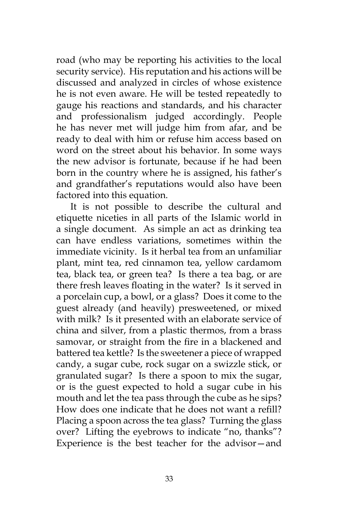road (who may be reporting his activities to the local security service). His reputation and his actions will be discussed and analyzed in circles of whose existence he is not even aware. He will be tested repeatedly to gauge his reactions and standards, and his character and professionalism judged accordingly. People he has never met will judge him from afar, and be ready to deal with him or refuse him access based on word on the street about his behavior. In some ways the new advisor is fortunate, because if he had been born in the country where he is assigned, his father's and grandfather's reputations would also have been factored into this equation.

It is not possible to describe the cultural and etiquette niceties in all parts of the Islamic world in a single document. As simple an act as drinking tea can have endless variations, sometimes within the immediate vicinity. Is it herbal tea from an unfamiliar plant, mint tea, red cinnamon tea, yellow cardamom tea, black tea, or green tea? Is there a tea bag, or are there fresh leaves floating in the water? Is it served in a porcelain cup, a bowl, or a glass? Does it come to the guest already (and heavily) presweetened, or mixed with milk? Is it presented with an elaborate service of china and silver, from a plastic thermos, from a brass samovar, or straight from the fire in a blackened and battered tea kettle? Is the sweetener a piece of wrapped candy, a sugar cube, rock sugar on a swizzle stick, or granulated sugar? Is there a spoon to mix the sugar, or is the guest expected to hold a sugar cube in his mouth and let the tea pass through the cube as he sips? How does one indicate that he does not want a refill? Placing a spoon across the tea glass? Turning the glass over? Lifting the eyebrows to indicate "no, thanks"? Experience is the best teacher for the advisor—and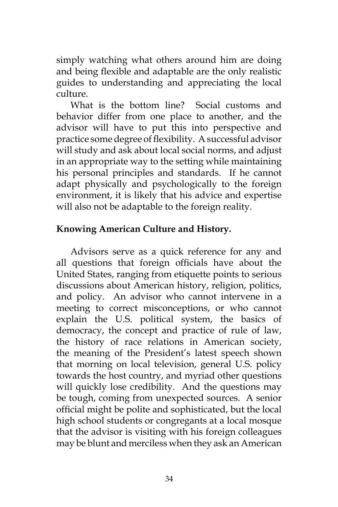simply watching what others around him are doing and being flexible and adaptable are the only realistic guides to understanding and appreciating the local culture.

What is the bottom line? Social customs and behavior differ from one place to another, and the advisor will have to put this into perspective and practice some degree of flexibility. A successful advisor will study and ask about local social norms, and adjust in an appropriate way to the setting while maintaining his personal principles and standards. If he cannot adapt physically and psychologically to the foreign environment, it is likely that his advice and expertise will also not be adaptable to the foreign reality.

## **Knowing American Culture and History.**

Advisors serve as a quick reference for any and all questions that foreign officials have about the United States, ranging from etiquette points to serious discussions about American history, religion, politics, and policy. An advisor who cannot intervene in a meeting to correct misconceptions, or who cannot explain the U.S. political system, the basics of democracy, the concept and practice of rule of law, the history of race relations in American society, the meaning of the President's latest speech shown that morning on local television, general U.S. policy towards the host country, and myriad other questions will quickly lose credibility. And the questions may be tough, coming from unexpected sources. A senior official might be polite and sophisticated, but the local high school students or congregants at a local mosque that the advisor is visiting with his foreign colleagues may be blunt and merciless when they ask an American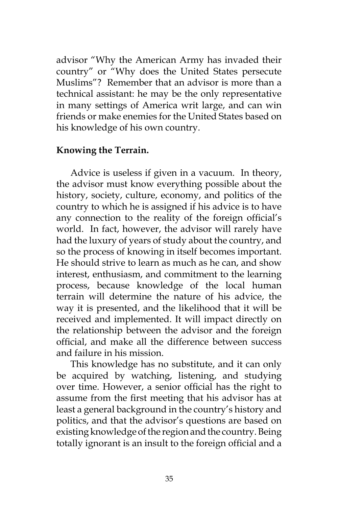advisor "Why the American Army has invaded their country" or "Why does the United States persecute Muslims"? Remember that an advisor is more than a technical assistant: he may be the only representative in many settings of America writ large, and can win friends or make enemies for the United States based on his knowledge of his own country.

#### **Knowing the Terrain.**

Advice is useless if given in a vacuum. In theory, the advisor must know everything possible about the history, society, culture, economy, and politics of the country to which he is assigned if his advice is to have any connection to the reality of the foreign official's world. In fact, however, the advisor will rarely have had the luxury of years of study about the country, and so the process of knowing in itself becomes important. He should strive to learn as much as he can, and show interest, enthusiasm, and commitment to the learning process, because knowledge of the local human terrain will determine the nature of his advice, the way it is presented, and the likelihood that it will be received and implemented. It will impact directly on the relationship between the advisor and the foreign official, and make all the difference between success and failure in his mission.

This knowledge has no substitute, and it can only be acquired by watching, listening, and studying over time. However, a senior official has the right to assume from the first meeting that his advisor has at least a general background in the country's history and politics, and that the advisor's questions are based on existing knowledge of the region and the country. Being totally ignorant is an insult to the foreign official and a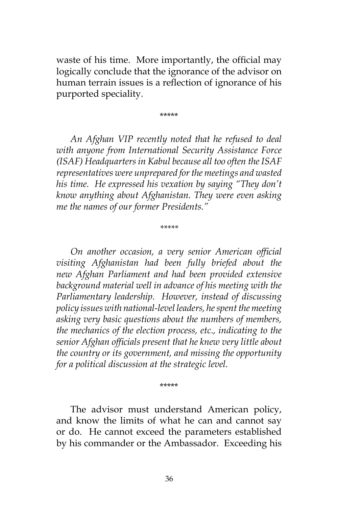waste of his time. More importantly, the official may logically conclude that the ignorance of the advisor on human terrain issues is a reflection of ignorance of his purported speciality.

\*\*\*\*\*

*An Afghan VIP recently noted that he refused to deal with anyone from International Security Assistance Force (ISAF) Headquarters in Kabul because all too often the ISAF representatives were unprepared for the meetings and wasted his time. He expressed his vexation by saying "They don't know anything about Afghanistan. They were even asking me the names of our former Presidents."*

*\*\*\*\*\**

*On another occasion, a very senior American official visiting Afghanistan had been fully briefed about the new Afghan Parliament and had been provided extensive background material well in advance of his meeting with the Parliamentary leadership. However, instead of discussing policy issues with national-level leaders, he spent the meeting asking very basic questions about the numbers of members, the mechanics of the election process, etc., indicating to the senior Afghan officials present that he knew very little about the country or its government, and missing the opportunity for a political discussion at the strategic level.*

#### \*\*\*\*\*

The advisor must understand American policy, and know the limits of what he can and cannot say or do. He cannot exceed the parameters established by his commander or the Ambassador. Exceeding his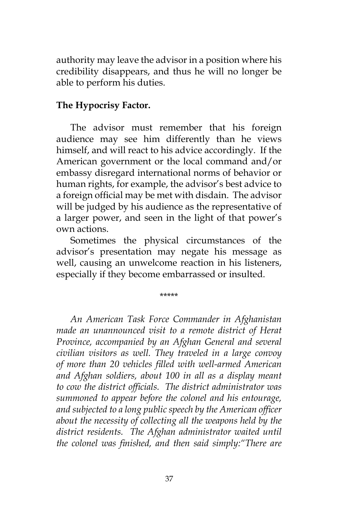authority may leave the advisor in a position where his credibility disappears, and thus he will no longer be able to perform his duties.

## **The Hypocrisy Factor.**

The advisor must remember that his foreign audience may see him differently than he views himself, and will react to his advice accordingly. If the American government or the local command and/or embassy disregard international norms of behavior or human rights, for example, the advisor's best advice to a foreign official may be met with disdain. The advisor will be judged by his audience as the representative of a larger power, and seen in the light of that power's own actions.

Sometimes the physical circumstances of the advisor's presentation may negate his message as well, causing an unwelcome reaction in his listeners, especially if they become embarrassed or insulted.

\*\*\*\*\*

*An American Task Force Commander in Afghanistan made an unannounced visit to a remote district of Herat Province, accompanied by an Afghan General and several civilian visitors as well. They traveled in a large convoy of more than 20 vehicles filled with well-armed American and Afghan soldiers, about 100 in all as a display meant to cow the district officials. The district administrator was summoned to appear before the colonel and his entourage, and subjected to a long public speech by the American officer about the necessity of collecting all the weapons held by the district residents. The Afghan administrator waited until the colonel was finished, and then said simply:"There are*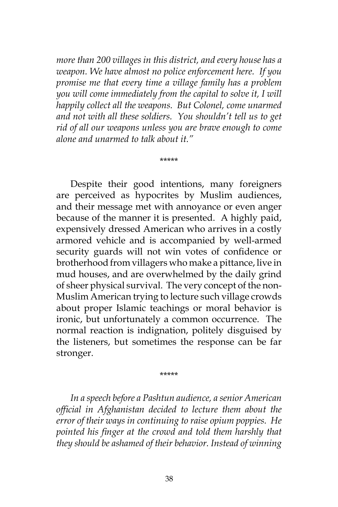*more than 200 villages in this district, and every house has a weapon. We have almost no police enforcement here. If you promise me that every time a village family has a problem you will come immediately from the capital to solve it, I will happily collect all the weapons. But Colonel, come unarmed and not with all these soldiers. You shouldn't tell us to get rid of all our weapons unless you are brave enough to come alone and unarmed to talk about it."*

\*\*\*\*\*

Despite their good intentions, many foreigners are perceived as hypocrites by Muslim audiences, and their message met with annoyance or even anger because of the manner it is presented. A highly paid, expensively dressed American who arrives in a costly armored vehicle and is accompanied by well-armed security guards will not win votes of confidence or brotherhood from villagers who make a pittance, live in mud houses, and are overwhelmed by the daily grind of sheer physical survival. The very concept of the non-Muslim American trying to lecture such village crowds about proper Islamic teachings or moral behavior is ironic, but unfortunately a common occurrence. The normal reaction is indignation, politely disguised by the listeners, but sometimes the response can be far stronger.

\*\*\*\*\*

*In a speech before a Pashtun audience, a senior American official in Afghanistan decided to lecture them about the error of their ways in continuing to raise opium poppies. He pointed his finger at the crowd and told them harshly that they should be ashamed of their behavior. Instead of winning*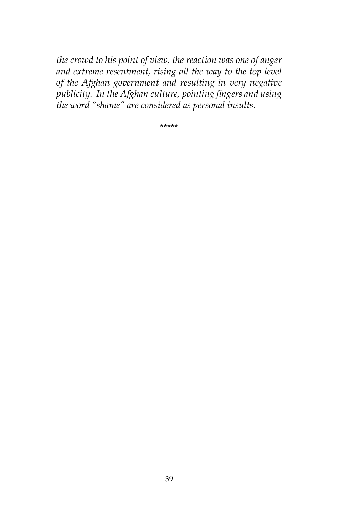*the crowd to his point of view, the reaction was one of anger and extreme resentment, rising all the way to the top level of the Afghan government and resulting in very negative publicity. In the Afghan culture, pointing fingers and using the word "shame" are considered as personal insults.*

\*\*\*\*\*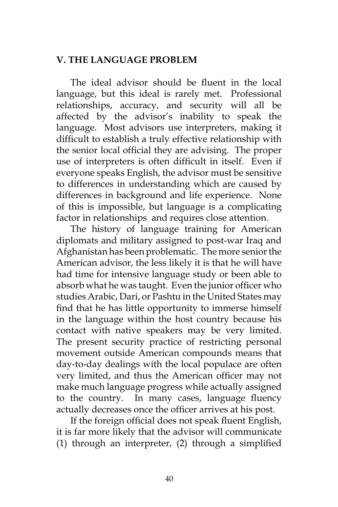## **V. THE LANGUAGE PROBLEM**

The ideal advisor should be fluent in the local language, but this ideal is rarely met. Professional relationships, accuracy, and security will all be affected by the advisor's inability to speak the language. Most advisors use interpreters, making it difficult to establish a truly effective relationship with the senior local official they are advising. The proper use of interpreters is often difficult in itself. Even if everyone speaks English, the advisor must be sensitive to differences in understanding which are caused by differences in background and life experience. None of this is impossible, but language is a complicating factor in relationships and requires close attention.

The history of language training for American diplomats and military assigned to post-war Iraq and Afghanistan has been problematic. The more senior the American advisor, the less likely it is that he will have had time for intensive language study or been able to absorb what he was taught. Even the junior officer who studies Arabic, Dari, or Pashtu in the United States may find that he has little opportunity to immerse himself in the language within the host country because his contact with native speakers may be very limited. The present security practice of restricting personal movement outside American compounds means that day-to-day dealings with the local populace are often very limited, and thus the American officer may not make much language progress while actually assigned to the country. In many cases, language fluency actually decreases once the officer arrives at his post.

If the foreign official does not speak fluent English, it is far more likely that the advisor will communicate (1) through an interpreter, (2) through a simplified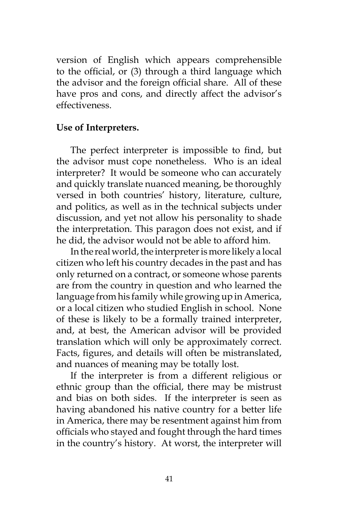version of English which appears comprehensible to the official, or (3) through a third language which the advisor and the foreign official share. All of these have pros and cons, and directly affect the advisor's effectiveness.

## **Use of Interpreters.**

The perfect interpreter is impossible to find, but the advisor must cope nonetheless. Who is an ideal interpreter? It would be someone who can accurately and quickly translate nuanced meaning, be thoroughly versed in both countries' history, literature, culture, and politics, as well as in the technical subjects under discussion, and yet not allow his personality to shade the interpretation. This paragon does not exist, and if he did, the advisor would not be able to afford him.

In the real world, the interpreter is more likely a local citizen who left his country decades in the past and has only returned on a contract, or someone whose parents are from the country in question and who learned the language from his family while growing up in America, or a local citizen who studied English in school. None of these is likely to be a formally trained interpreter, and, at best, the American advisor will be provided translation which will only be approximately correct. Facts, figures, and details will often be mistranslated, and nuances of meaning may be totally lost.

If the interpreter is from a different religious or ethnic group than the official, there may be mistrust and bias on both sides. If the interpreter is seen as having abandoned his native country for a better life in America, there may be resentment against him from officials who stayed and fought through the hard times in the country's history. At worst, the interpreter will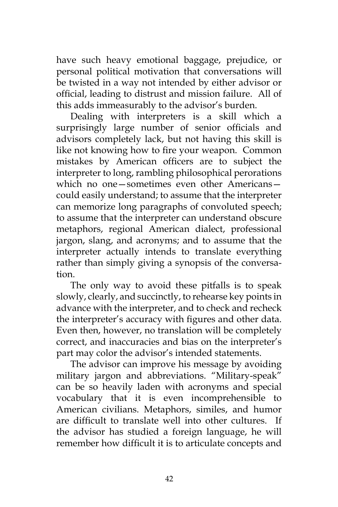have such heavy emotional baggage, prejudice, or personal political motivation that conversations will be twisted in a way not intended by either advisor or official, leading to distrust and mission failure. All of this adds immeasurably to the advisor's burden.

Dealing with interpreters is a skill which a surprisingly large number of senior officials and advisors completely lack, but not having this skill is like not knowing how to fire your weapon. Common mistakes by American officers are to subject the interpreter to long, rambling philosophical perorations which no one—sometimes even other Americans could easily understand; to assume that the interpreter can memorize long paragraphs of convoluted speech; to assume that the interpreter can understand obscure metaphors, regional American dialect, professional jargon, slang, and acronyms; and to assume that the interpreter actually intends to translate everything rather than simply giving a synopsis of the conversation.

The only way to avoid these pitfalls is to speak slowly, clearly, and succinctly, to rehearse key points in advance with the interpreter, and to check and recheck the interpreter's accuracy with figures and other data. Even then, however, no translation will be completely correct, and inaccuracies and bias on the interpreter's part may color the advisor's intended statements.

The advisor can improve his message by avoiding military jargon and abbreviations. "Military-speak" can be so heavily laden with acronyms and special vocabulary that it is even incomprehensible to American civilians. Metaphors, similes, and humor are difficult to translate well into other cultures. If the advisor has studied a foreign language, he will remember how difficult it is to articulate concepts and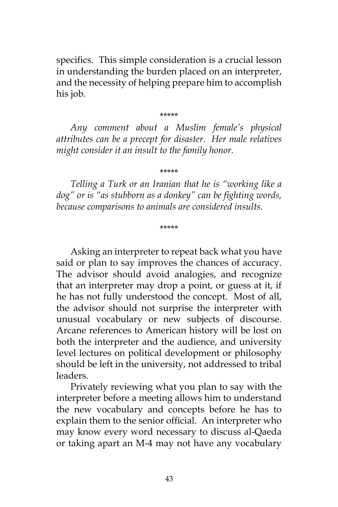specifics. This simple consideration is a crucial lesson in understanding the burden placed on an interpreter, and the necessity of helping prepare him to accomplish his job.

\*\*\*\*\*

*Any comment about a Muslim female's physical attributes can be a precept for disaster. Her male relatives might consider it an insult to the family honor.*

\*\*\*\*\*

*Telling a Turk or an Iranian that he is "working like a dog" or is "as stubborn as a donkey" can be fighting words, because comparisons to animals are considered insults.*

\*\*\*\*\*

Asking an interpreter to repeat back what you have said or plan to say improves the chances of accuracy. The advisor should avoid analogies, and recognize that an interpreter may drop a point, or guess at it, if he has not fully understood the concept. Most of all, the advisor should not surprise the interpreter with unusual vocabulary or new subjects of discourse. Arcane references to American history will be lost on both the interpreter and the audience, and university level lectures on political development or philosophy should be left in the university, not addressed to tribal leaders.

Privately reviewing what you plan to say with the interpreter before a meeting allows him to understand the new vocabulary and concepts before he has to explain them to the senior official. An interpreter who may know every word necessary to discuss al-Qaeda or taking apart an M-4 may not have any vocabulary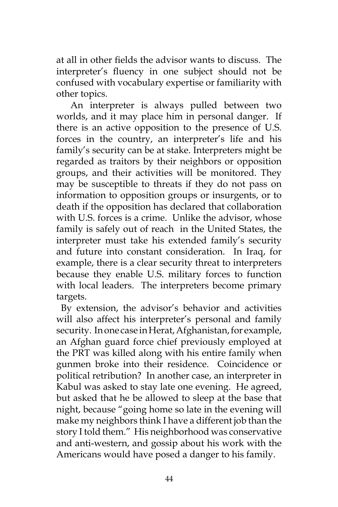at all in other fields the advisor wants to discuss. The interpreter's fluency in one subject should not be confused with vocabulary expertise or familiarity with other topics.

An interpreter is always pulled between two worlds, and it may place him in personal danger. If there is an active opposition to the presence of U.S. forces in the country, an interpreter's life and his family's security can be at stake. Interpreters might be regarded as traitors by their neighbors or opposition groups, and their activities will be monitored. They may be susceptible to threats if they do not pass on information to opposition groups or insurgents, or to death if the opposition has declared that collaboration with U.S. forces is a crime. Unlike the advisor, whose family is safely out of reach in the United States, the interpreter must take his extended family's security and future into constant consideration. In Iraq, for example, there is a clear security threat to interpreters because they enable U.S. military forces to function with local leaders. The interpreters become primary targets.

 By extension, the advisor's behavior and activities will also affect his interpreter's personal and family security. In one case in Herat, Afghanistan, for example, an Afghan guard force chief previously employed at the PRT was killed along with his entire family when gunmen broke into their residence. Coincidence or political retribution? In another case, an interpreter in Kabul was asked to stay late one evening. He agreed, but asked that he be allowed to sleep at the base that night, because "going home so late in the evening will make my neighbors think I have a different job than the story I told them." His neighborhood was conservative and anti-western, and gossip about his work with the Americans would have posed a danger to his family.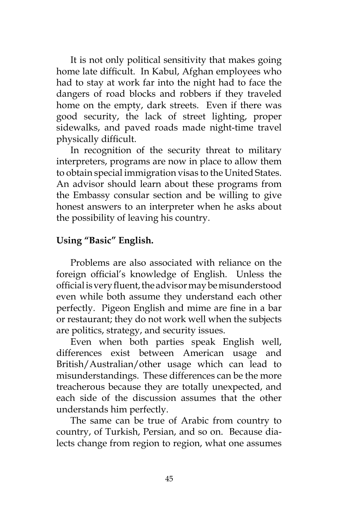It is not only political sensitivity that makes going home late difficult. In Kabul, Afghan employees who had to stay at work far into the night had to face the dangers of road blocks and robbers if they traveled home on the empty, dark streets. Even if there was good security, the lack of street lighting, proper sidewalks, and paved roads made night-time travel physically difficult.

In recognition of the security threat to military interpreters, programs are now in place to allow them to obtain special immigration visas to the United States. An advisor should learn about these programs from the Embassy consular section and be willing to give honest answers to an interpreter when he asks about the possibility of leaving his country.

## **Using "Basic" English.**

Problems are also associated with reliance on the foreign official's knowledge of English. Unless the official is very fluent, the advisor may be misunderstood even while both assume they understand each other perfectly. Pigeon English and mime are fine in a bar or restaurant; they do not work well when the subjects are politics, strategy, and security issues.

Even when both parties speak English well, differences exist between American usage and British/Australian/other usage which can lead to misunderstandings. These differences can be the more treacherous because they are totally unexpected, and each side of the discussion assumes that the other understands him perfectly.

The same can be true of Arabic from country to country, of Turkish, Persian, and so on. Because dialects change from region to region, what one assumes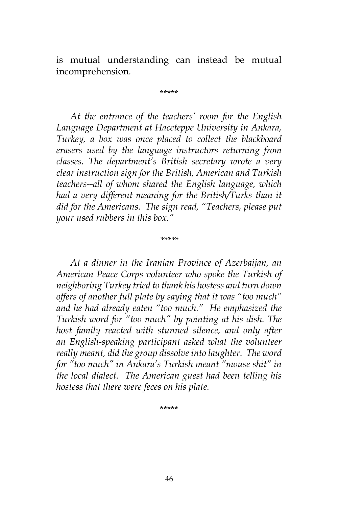is mutual understanding can instead be mutual incomprehension.

\*\*\*\*\*

*At the entrance of the teachers' room for the English Language Department at Haceteppe University in Ankara, Turkey, a box was once placed to collect the blackboard erasers used by the language instructors returning from classes. The department's British secretary wrote a very clear instruction sign for the British, American and Turkish teachers--all of whom shared the English language, which had a very different meaning for the British/Turks than it did for the Americans. The sign read, "Teachers, please put your used rubbers in this box."*

*\*\*\*\*\**

*At a dinner in the Iranian Province of Azerbaijan, an American Peace Corps volunteer who spoke the Turkish of neighboring Turkey tried to thank his hostess and turn down offers of another full plate by saying that it was "too much" and he had already eaten "too much." He emphasized the Turkish word for "too much" by pointing at his dish. The host family reacted with stunned silence, and only after an English-speaking participant asked what the volunteer really meant, did the group dissolve into laughter. The word for "too much" in Ankara's Turkish meant "mouse shit" in the local dialect. The American guest had been telling his hostess that there were feces on his plate.*

\*\*\*\*\*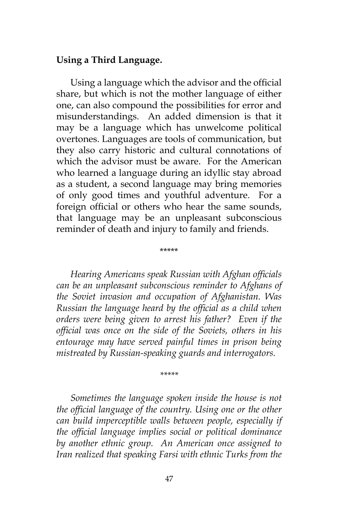#### **Using a Third Language.**

Using a language which the advisor and the official share, but which is not the mother language of either one, can also compound the possibilities for error and misunderstandings. An added dimension is that it may be a language which has unwelcome political overtones. Languages are tools of communication, but they also carry historic and cultural connotations of which the advisor must be aware. For the American who learned a language during an idyllic stay abroad as a student, a second language may bring memories of only good times and youthful adventure. For a foreign official or others who hear the same sounds, that language may be an unpleasant subconscious reminder of death and injury to family and friends.

*Hearing Americans speak Russian with Afghan officials can be an unpleasant subconscious reminder to Afghans of the Soviet invasion and occupation of Afghanistan. Was Russian the language heard by the official as a child when orders were being given to arrest his father? Even if the official was once on the side of the Soviets, others in his entourage may have served painful times in prison being mistreated by Russian-speaking guards and interrogators.*

\*\*\*\*\*

*\*\*\*\*\**

*Sometimes the language spoken inside the house is not the official language of the country. Using one or the other can build imperceptible walls between people, especially if the official language implies social or political dominance by another ethnic group. An American once assigned to Iran realized that speaking Farsi with ethnic Turks from the*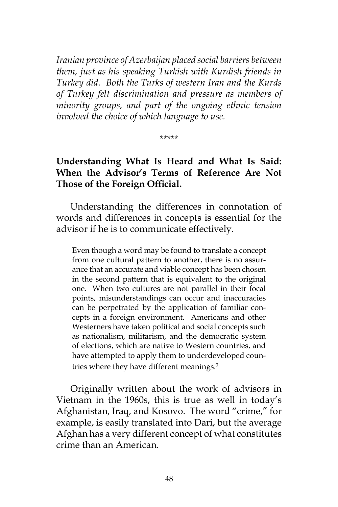*Iranian province of Azerbaijan placed social barriers between them, just as his speaking Turkish with Kurdish friends in Turkey did. Both the Turks of western Iran and the Kurds of Turkey felt discrimination and pressure as members of minority groups, and part of the ongoing ethnic tension involved the choice of which language to use.*

\*\*\*\*\*

## **Understanding What Is Heard and What Is Said: When the Advisor's Terms of Reference Are Not Those of the Foreign Official.**

Understanding the differences in connotation of words and differences in concepts is essential for the advisor if he is to communicate effectively.

Even though a word may be found to translate a concept from one cultural pattern to another, there is no assurance that an accurate and viable concept has been chosen in the second pattern that is equivalent to the original one. When two cultures are not parallel in their focal points, misunderstandings can occur and inaccuracies can be perpetrated by the application of familiar concepts in a foreign environment. Americans and other Westerners have taken political and social concepts such as nationalism, militarism, and the democratic system of elections, which are native to Western countries, and have attempted to apply them to underdeveloped countries where they have different meanings.<sup>3</sup>

Originally written about the work of advisors in Vietnam in the 1960s, this is true as well in today's Afghanistan, Iraq, and Kosovo. The word "crime," for example, is easily translated into Dari, but the average Afghan has a very different concept of what constitutes crime than an American.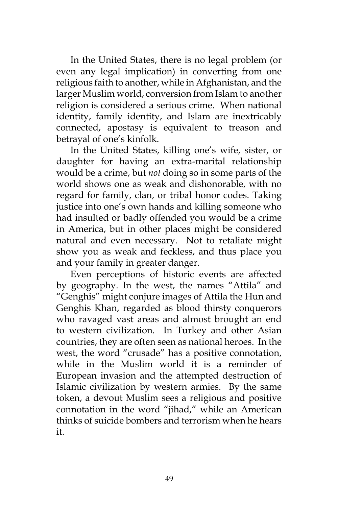In the United States, there is no legal problem (or even any legal implication) in converting from one religious faith to another, while in Afghanistan, and the larger Muslim world, conversion from Islam to another religion is considered a serious crime. When national identity, family identity, and Islam are inextricably connected, apostasy is equivalent to treason and betrayal of one's kinfolk.

In the United States, killing one's wife, sister, or daughter for having an extra-marital relationship would be a crime, but *not* doing so in some parts of the world shows one as weak and dishonorable, with no regard for family, clan, or tribal honor codes. Taking justice into one's own hands and killing someone who had insulted or badly offended you would be a crime in America, but in other places might be considered natural and even necessary. Not to retaliate might show you as weak and feckless, and thus place you and your family in greater danger.

Even perceptions of historic events are affected by geography. In the west, the names "Attila" and "Genghis" might conjure images of Attila the Hun and Genghis Khan, regarded as blood thirsty conquerors who ravaged vast areas and almost brought an end to western civilization. In Turkey and other Asian countries, they are often seen as national heroes. In the west, the word "crusade" has a positive connotation, while in the Muslim world it is a reminder of European invasion and the attempted destruction of Islamic civilization by western armies. By the same token, a devout Muslim sees a religious and positive connotation in the word "jihad," while an American thinks of suicide bombers and terrorism when he hears it.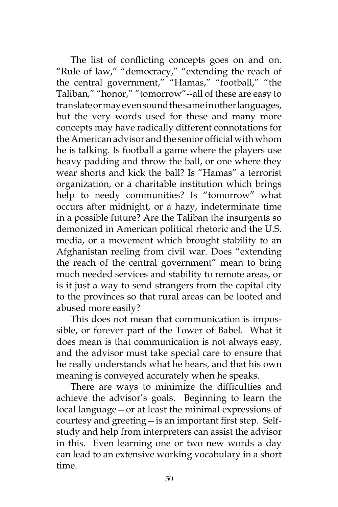The list of conflicting concepts goes on and on. "Rule of law," "democracy," "extending the reach of the central government," "Hamas," "football," "the Taliban," "honor," "tomorrow"--all of these are easy to translate or may even sound the same in other languages, but the very words used for these and many more concepts may have radically different connotations for the American advisor and the senior official with whom he is talking. Is football a game where the players use heavy padding and throw the ball, or one where they wear shorts and kick the ball? Is "Hamas" a terrorist organization, or a charitable institution which brings help to needy communities? Is "tomorrow" what occurs after midnight, or a hazy, indeterminate time in a possible future? Are the Taliban the insurgents so demonized in American political rhetoric and the U.S. media, or a movement which brought stability to an Afghanistan reeling from civil war. Does "extending the reach of the central government" mean to bring much needed services and stability to remote areas, or is it just a way to send strangers from the capital city to the provinces so that rural areas can be looted and abused more easily?

This does not mean that communication is impossible, or forever part of the Tower of Babel. What it does mean is that communication is not always easy, and the advisor must take special care to ensure that he really understands what he hears, and that his own meaning is conveyed accurately when he speaks.

There are ways to minimize the difficulties and achieve the advisor's goals. Beginning to learn the local language—or at least the minimal expressions of courtesy and greeting—is an important first step. Selfstudy and help from interpreters can assist the advisor in this. Even learning one or two new words a day can lead to an extensive working vocabulary in a short time.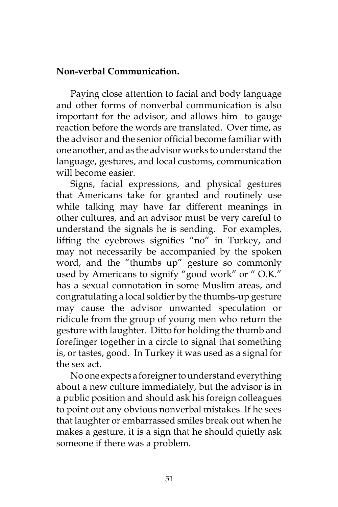## **Non-verbal Communication.**

Paying close attention to facial and body language and other forms of nonverbal communication is also important for the advisor, and allows him to gauge reaction before the words are translated. Over time, as the advisor and the senior official become familiar with one another, and as the advisor works to understand the language, gestures, and local customs, communication will become easier.

Signs, facial expressions, and physical gestures that Americans take for granted and routinely use while talking may have far different meanings in other cultures, and an advisor must be very careful to understand the signals he is sending. For examples, lifting the eyebrows signifies "no" in Turkey, and may not necessarily be accompanied by the spoken word, and the "thumbs up" gesture so commonly used by Americans to signify "good work" or "O.K." has a sexual connotation in some Muslim areas, and congratulating a local soldier by the thumbs-up gesture may cause the advisor unwanted speculation or ridicule from the group of young men who return the gesture with laughter. Ditto for holding the thumb and forefinger together in a circle to signal that something is, or tastes, good. In Turkey it was used as a signal for the sex act.

No one expects a foreigner to understand everything about a new culture immediately, but the advisor is in a public position and should ask his foreign colleagues to point out any obvious nonverbal mistakes. If he sees that laughter or embarrassed smiles break out when he makes a gesture, it is a sign that he should quietly ask someone if there was a problem.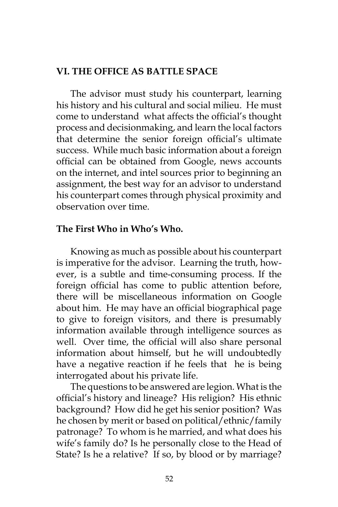## **VI. THE OFFICE AS BATTLE SPACE**

The advisor must study his counterpart, learning his history and his cultural and social milieu. He must come to understand what affects the official's thought process and decisionmaking, and learn the local factors that determine the senior foreign official's ultimate success. While much basic information about a foreign official can be obtained from Google, news accounts on the internet, and intel sources prior to beginning an assignment, the best way for an advisor to understand his counterpart comes through physical proximity and observation over time.

## **The First Who in Who's Who.**

Knowing as much as possible about his counterpart is imperative for the advisor. Learning the truth, however, is a subtle and time-consuming process. If the foreign official has come to public attention before, there will be miscellaneous information on Google about him. He may have an official biographical page to give to foreign visitors, and there is presumably information available through intelligence sources as well. Over time, the official will also share personal information about himself, but he will undoubtedly have a negative reaction if he feels that he is being interrogated about his private life.

The questions to be answered are legion. What is the official's history and lineage? His religion? His ethnic background? How did he get his senior position? Was he chosen by merit or based on political/ethnic/family patronage? To whom is he married, and what does his wife's family do? Is he personally close to the Head of State? Is he a relative? If so, by blood or by marriage?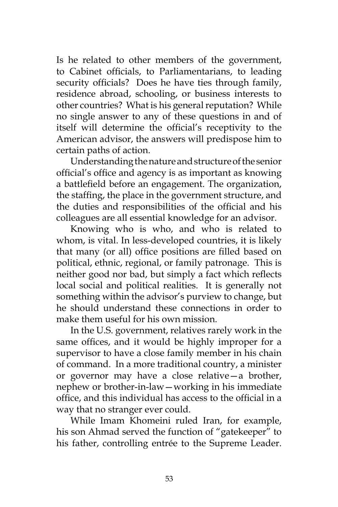Is he related to other members of the government, to Cabinet officials, to Parliamentarians, to leading security officials? Does he have ties through family, residence abroad, schooling, or business interests to other countries? What is his general reputation? While no single answer to any of these questions in and of itself will determine the official's receptivity to the American advisor, the answers will predispose him to certain paths of action.

Understanding the nature and structure of the senior official's office and agency is as important as knowing a battlefield before an engagement. The organization, the staffing, the place in the government structure, and the duties and responsibilities of the official and his colleagues are all essential knowledge for an advisor.

Knowing who is who, and who is related to whom, is vital. In less-developed countries, it is likely that many (or all) office positions are filled based on political, ethnic, regional, or family patronage. This is neither good nor bad, but simply a fact which reflects local social and political realities. It is generally not something within the advisor's purview to change, but he should understand these connections in order to make them useful for his own mission.

In the U.S. government, relatives rarely work in the same offices, and it would be highly improper for a supervisor to have a close family member in his chain of command. In a more traditional country, a minister or governor may have a close relative—a brother, nephew or brother-in-law—working in his immediate office, and this individual has access to the official in a way that no stranger ever could.

While Imam Khomeini ruled Iran, for example, his son Ahmad served the function of "gatekeeper" to his father, controlling entrée to the Supreme Leader.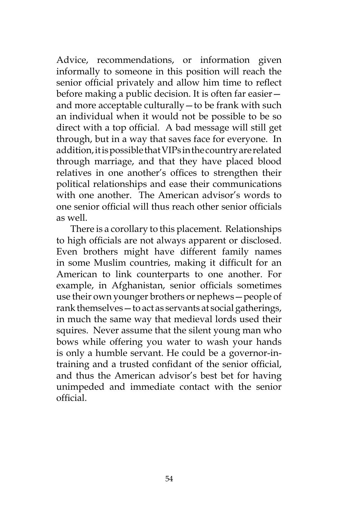Advice, recommendations, or information given informally to someone in this position will reach the senior official privately and allow him time to reflect before making a public decision. It is often far easier and more acceptable culturally—to be frank with such an individual when it would not be possible to be so direct with a top official. A bad message will still get through, but in a way that saves face for everyone. In addition, it is possible that VIPs in the country are related through marriage, and that they have placed blood relatives in one another's offices to strengthen their political relationships and ease their communications with one another. The American advisor's words to one senior official will thus reach other senior officials as well.

There is a corollary to this placement. Relationships to high officials are not always apparent or disclosed. Even brothers might have different family names in some Muslim countries, making it difficult for an American to link counterparts to one another. For example, in Afghanistan, senior officials sometimes use their own younger brothers or nephews—people of rank themselves—to act as servants at social gatherings, in much the same way that medieval lords used their squires. Never assume that the silent young man who bows while offering you water to wash your hands is only a humble servant. He could be a governor-intraining and a trusted confidant of the senior official, and thus the American advisor's best bet for having unimpeded and immediate contact with the senior official.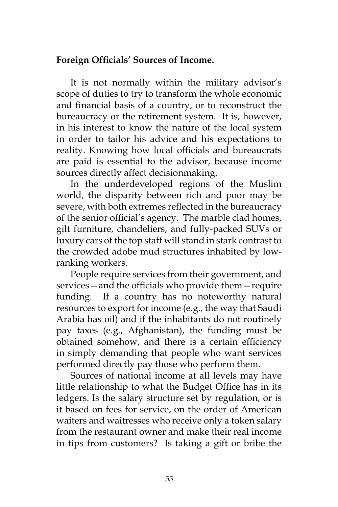## **Foreign Officials' Sources of Income.**

It is not normally within the military advisor's scope of duties to try to transform the whole economic and financial basis of a country, or to reconstruct the bureaucracy or the retirement system. It is, however, in his interest to know the nature of the local system in order to tailor his advice and his expectations to reality. Knowing how local officials and bureaucrats are paid is essential to the advisor, because income sources directly affect decisionmaking.

In the underdeveloped regions of the Muslim world, the disparity between rich and poor may be severe, with both extremes reflected in the bureaucracy of the senior official's agency. The marble clad homes, gilt furniture, chandeliers, and fully-packed SUVs or luxury cars of the top staff will stand in stark contrast to the crowded adobe mud structures inhabited by lowranking workers.

People require services from their government, and services—and the officials who provide them—require funding. If a country has no noteworthy natural resources to export for income (e.g., the way that Saudi Arabia has oil) and if the inhabitants do not routinely pay taxes (e.g., Afghanistan), the funding must be obtained somehow, and there is a certain efficiency in simply demanding that people who want services performed directly pay those who perform them.

Sources of national income at all levels may have little relationship to what the Budget Office has in its ledgers. Is the salary structure set by regulation, or is it based on fees for service, on the order of American waiters and waitresses who receive only a token salary from the restaurant owner and make their real income in tips from customers? Is taking a gift or bribe the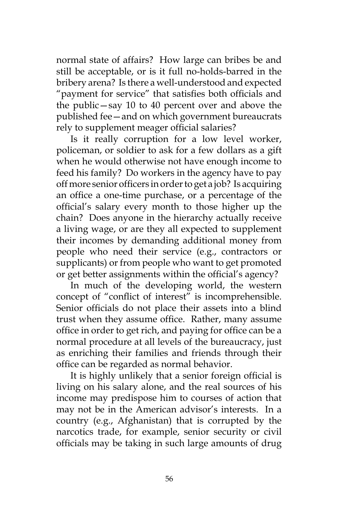normal state of affairs? How large can bribes be and still be acceptable, or is it full no-holds-barred in the bribery arena? Is there a well-understood and expected "payment for service" that satisfies both officials and the public—say 10 to 40 percent over and above the published fee—and on which government bureaucrats rely to supplement meager official salaries?

Is it really corruption for a low level worker, policeman, or soldier to ask for a few dollars as a gift when he would otherwise not have enough income to feed his family? Do workers in the agency have to pay off more senior officers in order to get a job? Is acquiring an office a one-time purchase, or a percentage of the official's salary every month to those higher up the chain? Does anyone in the hierarchy actually receive a living wage, or are they all expected to supplement their incomes by demanding additional money from people who need their service (e.g., contractors or supplicants) or from people who want to get promoted or get better assignments within the official's agency?

In much of the developing world, the western concept of "conflict of interest" is incomprehensible. Senior officials do not place their assets into a blind trust when they assume office. Rather, many assume office in order to get rich, and paying for office can be a normal procedure at all levels of the bureaucracy, just as enriching their families and friends through their office can be regarded as normal behavior.

It is highly unlikely that a senior foreign official is living on his salary alone, and the real sources of his income may predispose him to courses of action that may not be in the American advisor's interests. In a country (e.g., Afghanistan) that is corrupted by the narcotics trade, for example, senior security or civil officials may be taking in such large amounts of drug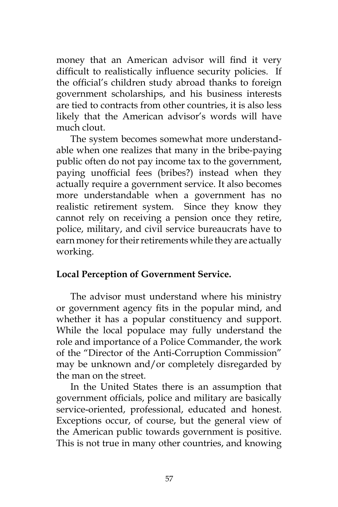money that an American advisor will find it very difficult to realistically influence security policies. If the official's children study abroad thanks to foreign government scholarships, and his business interests are tied to contracts from other countries, it is also less likely that the American advisor's words will have much clout.

The system becomes somewhat more understandable when one realizes that many in the bribe-paying public often do not pay income tax to the government, paying unofficial fees (bribes?) instead when they actually require a government service. It also becomes more understandable when a government has no realistic retirement system. Since they know they cannot rely on receiving a pension once they retire, police, military, and civil service bureaucrats have to earn money for their retirements while they are actually working.

## **Local Perception of Government Service.**

The advisor must understand where his ministry or government agency fits in the popular mind, and whether it has a popular constituency and support. While the local populace may fully understand the role and importance of a Police Commander, the work of the "Director of the Anti-Corruption Commission" may be unknown and/or completely disregarded by the man on the street.

In the United States there is an assumption that government officials, police and military are basically service-oriented, professional, educated and honest. Exceptions occur, of course, but the general view of the American public towards government is positive. This is not true in many other countries, and knowing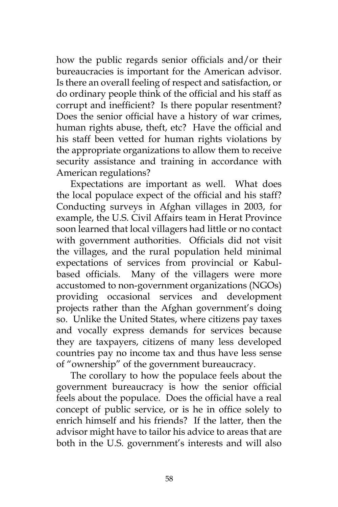how the public regards senior officials and/or their bureaucracies is important for the American advisor. Is there an overall feeling of respect and satisfaction, or do ordinary people think of the official and his staff as corrupt and inefficient? Is there popular resentment? Does the senior official have a history of war crimes, human rights abuse, theft, etc? Have the official and his staff been vetted for human rights violations by the appropriate organizations to allow them to receive security assistance and training in accordance with American regulations?

Expectations are important as well. What does the local populace expect of the official and his staff? Conducting surveys in Afghan villages in 2003, for example, the U.S. Civil Affairs team in Herat Province soon learned that local villagers had little or no contact with government authorities. Officials did not visit the villages, and the rural population held minimal expectations of services from provincial or Kabulbased officials. Many of the villagers were more accustomed to non-government organizations (NGOs) providing occasional services and development projects rather than the Afghan government's doing so. Unlike the United States, where citizens pay taxes and vocally express demands for services because they are taxpayers, citizens of many less developed countries pay no income tax and thus have less sense of "ownership" of the government bureaucracy.

The corollary to how the populace feels about the government bureaucracy is how the senior official feels about the populace. Does the official have a real concept of public service, or is he in office solely to enrich himself and his friends? If the latter, then the advisor might have to tailor his advice to areas that are both in the U.S. government's interests and will also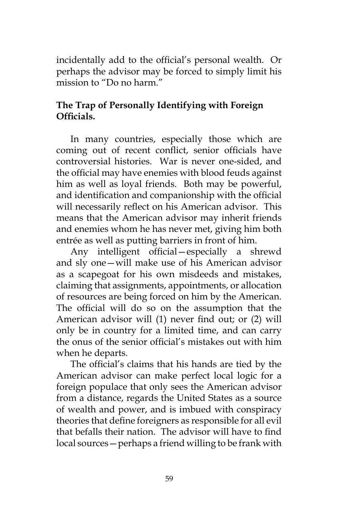incidentally add to the official's personal wealth. Or perhaps the advisor may be forced to simply limit his mission to "Do no harm."

# **The Trap of Personally Identifying with Foreign Officials.**

In many countries, especially those which are coming out of recent conflict, senior officials have controversial histories. War is never one-sided, and the official may have enemies with blood feuds against him as well as loyal friends. Both may be powerful, and identification and companionship with the official will necessarily reflect on his American advisor. This means that the American advisor may inherit friends and enemies whom he has never met, giving him both entrée as well as putting barriers in front of him.

Any intelligent official—especially a shrewd and sly one—will make use of his American advisor as a scapegoat for his own misdeeds and mistakes, claiming that assignments, appointments, or allocation of resources are being forced on him by the American. The official will do so on the assumption that the American advisor will (1) never find out; or (2) will only be in country for a limited time, and can carry the onus of the senior official's mistakes out with him when he departs.

The official's claims that his hands are tied by the American advisor can make perfect local logic for a foreign populace that only sees the American advisor from a distance, regards the United States as a source of wealth and power, and is imbued with conspiracy theories that define foreigners as responsible for all evil that befalls their nation. The advisor will have to find local sources—perhaps a friend willing to be frank with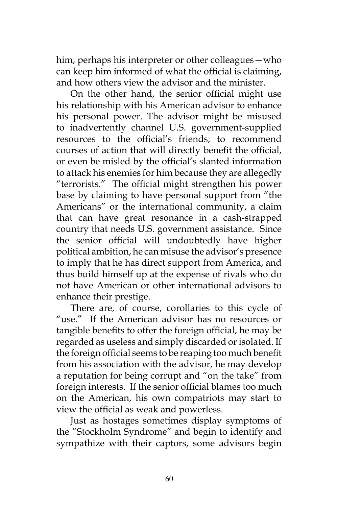him, perhaps his interpreter or other colleagues—who can keep him informed of what the official is claiming, and how others view the advisor and the minister.

On the other hand, the senior official might use his relationship with his American advisor to enhance his personal power. The advisor might be misused to inadvertently channel U.S. government-supplied resources to the official's friends, to recommend courses of action that will directly benefit the official, or even be misled by the official's slanted information to attack his enemies for him because they are allegedly "terrorists." The official might strengthen his power base by claiming to have personal support from "the Americans" or the international community, a claim that can have great resonance in a cash-strapped country that needs U.S. government assistance. Since the senior official will undoubtedly have higher political ambition, he can misuse the advisor's presence to imply that he has direct support from America, and thus build himself up at the expense of rivals who do not have American or other international advisors to enhance their prestige.

There are, of course, corollaries to this cycle of "use." If the American advisor has no resources or tangible benefits to offer the foreign official, he may be regarded as useless and simply discarded or isolated. If the foreign official seems to be reaping too much benefit from his association with the advisor, he may develop a reputation for being corrupt and "on the take" from foreign interests. If the senior official blames too much on the American, his own compatriots may start to view the official as weak and powerless.

Just as hostages sometimes display symptoms of the "Stockholm Syndrome" and begin to identify and sympathize with their captors, some advisors begin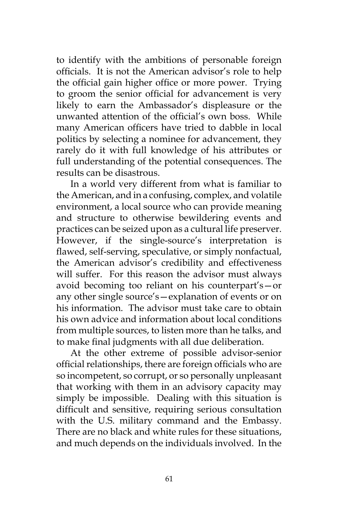to identify with the ambitions of personable foreign officials. It is not the American advisor's role to help the official gain higher office or more power. Trying to groom the senior official for advancement is very likely to earn the Ambassador's displeasure or the unwanted attention of the official's own boss. While many American officers have tried to dabble in local politics by selecting a nominee for advancement, they rarely do it with full knowledge of his attributes or full understanding of the potential consequences. The results can be disastrous.

In a world very different from what is familiar to the American, and in a confusing, complex, and volatile environment, a local source who can provide meaning and structure to otherwise bewildering events and practices can be seized upon as a cultural life preserver. However, if the single-source's interpretation is flawed, self-serving, speculative, or simply nonfactual, the American advisor's credibility and effectiveness will suffer. For this reason the advisor must always avoid becoming too reliant on his counterpart's—or any other single source's—explanation of events or on his information. The advisor must take care to obtain his own advice and information about local conditions from multiple sources, to listen more than he talks, and to make final judgments with all due deliberation.

At the other extreme of possible advisor-senior official relationships, there are foreign officials who are so incompetent, so corrupt, or so personally unpleasant that working with them in an advisory capacity may simply be impossible. Dealing with this situation is difficult and sensitive, requiring serious consultation with the U.S. military command and the Embassy. There are no black and white rules for these situations, and much depends on the individuals involved. In the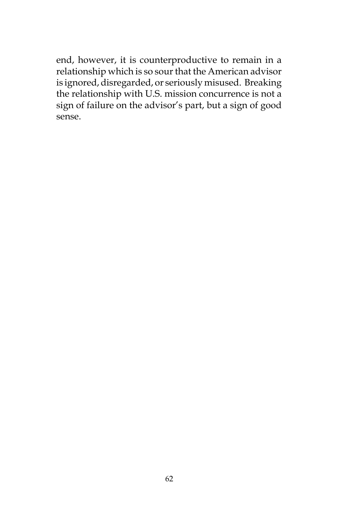end, however, it is counterproductive to remain in a relationship which is so sour that the American advisor is ignored, disregarded, or seriously misused. Breaking the relationship with U.S. mission concurrence is not a sign of failure on the advisor's part, but a sign of good sense.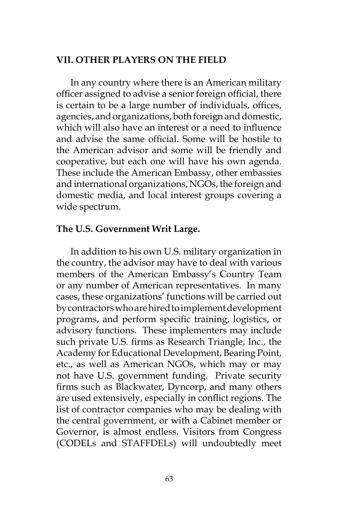#### **VII. OTHER PLAYERS ON THE FIELD**

In any country where there is an American military officer assigned to advise a senior foreign official, there is certain to be a large number of individuals, offices, agencies, and organizations, both foreign and domestic, which will also have an interest or a need to influence and advise the same official. Some will be hostile to the American advisor and some will be friendly and cooperative, but each one will have his own agenda. These include the American Embassy, other embassies and international organizations, NGOs, the foreign and domestic media, and local interest groups covering a wide spectrum.

#### **The U.S. Government Writ Large.**

In addition to his own U.S. military organization in the country, the advisor may have to deal with various members of the American Embassy's Country Team or any number of American representatives. In many cases, these organizations' functions will be carried out by contractors who are hired to implement development programs, and perform specific training, logistics, or advisory functions. These implementers may include such private U.S. firms as Research Triangle, Inc., the Academy for Educational Development, Bearing Point, etc., as well as American NGOs, which may or may not have U.S. government funding. Private security firms such as Blackwater, Dyncorp, and many others are used extensively, especially in conflict regions. The list of contractor companies who may be dealing with the central government, or with a Cabinet member or Governor, is almost endless. Visitors from Congress (CODELs and STAFFDELs) will undoubtedly meet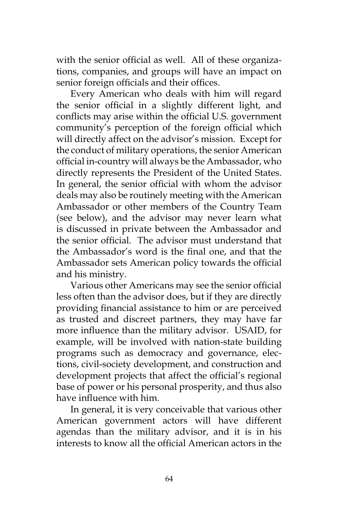with the senior official as well. All of these organizations, companies, and groups will have an impact on senior foreign officials and their offices.

Every American who deals with him will regard the senior official in a slightly different light, and conflicts may arise within the official U.S. government community's perception of the foreign official which will directly affect on the advisor's mission. Except for the conduct of military operations, the senior American official in-country will always be the Ambassador, who directly represents the President of the United States. In general, the senior official with whom the advisor deals may also be routinely meeting with the American Ambassador or other members of the Country Team (see below), and the advisor may never learn what is discussed in private between the Ambassador and the senior official. The advisor must understand that the Ambassador's word is the final one, and that the Ambassador sets American policy towards the official and his ministry.

Various other Americans may see the senior official less often than the advisor does, but if they are directly providing financial assistance to him or are perceived as trusted and discreet partners, they may have far more influence than the military advisor. USAID, for example, will be involved with nation-state building programs such as democracy and governance, elections, civil-society development, and construction and development projects that affect the official's regional base of power or his personal prosperity, and thus also have influence with him.

In general, it is very conceivable that various other American government actors will have different agendas than the military advisor, and it is in his interests to know all the official American actors in the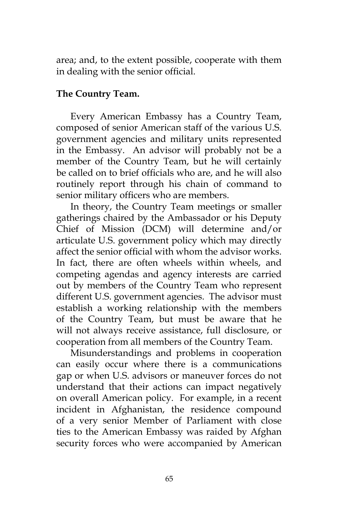area; and, to the extent possible, cooperate with them in dealing with the senior official.

# **The Country Team.**

Every American Embassy has a Country Team, composed of senior American staff of the various U.S. government agencies and military units represented in the Embassy. An advisor will probably not be a member of the Country Team, but he will certainly be called on to brief officials who are, and he will also routinely report through his chain of command to senior military officers who are members.

In theory, the Country Team meetings or smaller gatherings chaired by the Ambassador or his Deputy Chief of Mission (DCM) will determine and/or articulate U.S. government policy which may directly affect the senior official with whom the advisor works. In fact, there are often wheels within wheels, and competing agendas and agency interests are carried out by members of the Country Team who represent different U.S. government agencies. The advisor must establish a working relationship with the members of the Country Team, but must be aware that he will not always receive assistance, full disclosure, or cooperation from all members of the Country Team.

Misunderstandings and problems in cooperation can easily occur where there is a communications gap or when U.S. advisors or maneuver forces do not understand that their actions can impact negatively on overall American policy. For example, in a recent incident in Afghanistan, the residence compound of a very senior Member of Parliament with close ties to the American Embassy was raided by Afghan security forces who were accompanied by American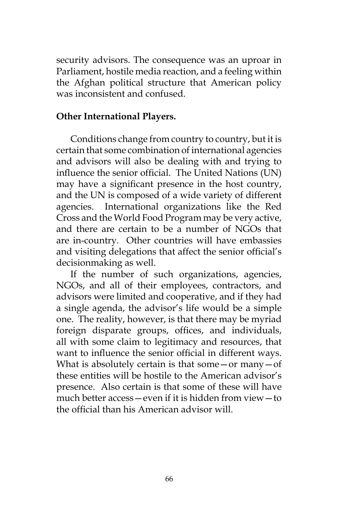security advisors. The consequence was an uproar in Parliament, hostile media reaction, and a feeling within the Afghan political structure that American policy was inconsistent and confused.

## **Other International Players.**

Conditions change from country to country, but it is certain that some combination of international agencies and advisors will also be dealing with and trying to influence the senior official. The United Nations (UN) may have a significant presence in the host country, and the UN is composed of a wide variety of different agencies. International organizations like the Red Cross and the World Food Program may be very active, and there are certain to be a number of NGOs that are in-country. Other countries will have embassies and visiting delegations that affect the senior official's decisionmaking as well.

If the number of such organizations, agencies, NGOs, and all of their employees, contractors, and advisors were limited and cooperative, and if they had a single agenda, the advisor's life would be a simple one. The reality, however, is that there may be myriad foreign disparate groups, offices, and individuals, all with some claim to legitimacy and resources, that want to influence the senior official in different ways. What is absolutely certain is that some $-$ or many $-$ of these entities will be hostile to the American advisor's presence. Also certain is that some of these will have much better access—even if it is hidden from view—to the official than his American advisor will.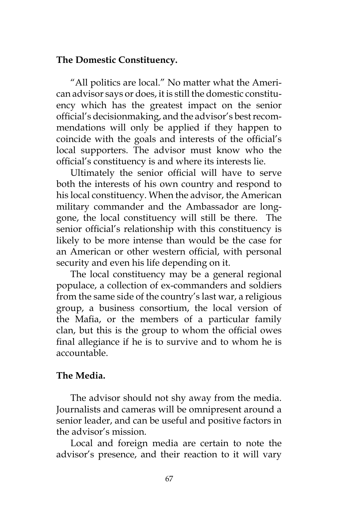## **The Domestic Constituency.**

"All politics are local." No matter what the American advisor says or does, it is still the domestic constituency which has the greatest impact on the senior official's decisionmaking, and the advisor's best recommendations will only be applied if they happen to coincide with the goals and interests of the official's local supporters. The advisor must know who the official's constituency is and where its interests lie.

Ultimately the senior official will have to serve both the interests of his own country and respond to his local constituency. When the advisor, the American military commander and the Ambassador are longgone, the local constituency will still be there. The senior official's relationship with this constituency is likely to be more intense than would be the case for an American or other western official, with personal security and even his life depending on it.

The local constituency may be a general regional populace, a collection of ex-commanders and soldiers from the same side of the country's last war, a religious group, a business consortium, the local version of the Mafia, or the members of a particular family clan, but this is the group to whom the official owes final allegiance if he is to survive and to whom he is accountable.

# **The Media.**

The advisor should not shy away from the media. Journalists and cameras will be omnipresent around a senior leader, and can be useful and positive factors in the advisor's mission.

Local and foreign media are certain to note the advisor's presence, and their reaction to it will vary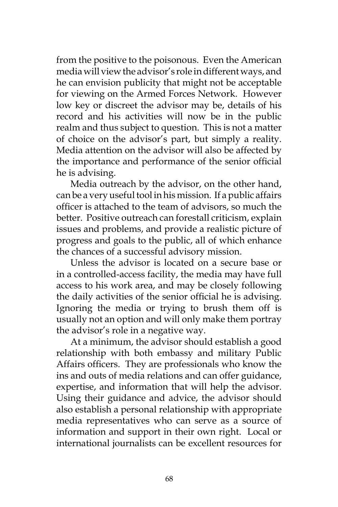from the positive to the poisonous. Even the American media will view the advisor's role in different ways, and he can envision publicity that might not be acceptable for viewing on the Armed Forces Network. However low key or discreet the advisor may be, details of his record and his activities will now be in the public realm and thus subject to question. This is not a matter of choice on the advisor's part, but simply a reality. Media attention on the advisor will also be affected by the importance and performance of the senior official he is advising.

Media outreach by the advisor, on the other hand, can be a very useful tool in his mission. If a public affairs officer is attached to the team of advisors, so much the better. Positive outreach can forestall criticism, explain issues and problems, and provide a realistic picture of progress and goals to the public, all of which enhance the chances of a successful advisory mission.

Unless the advisor is located on a secure base or in a controlled-access facility, the media may have full access to his work area, and may be closely following the daily activities of the senior official he is advising. Ignoring the media or trying to brush them off is usually not an option and will only make them portray the advisor's role in a negative way.

At a minimum, the advisor should establish a good relationship with both embassy and military Public Affairs officers. They are professionals who know the ins and outs of media relations and can offer guidance, expertise, and information that will help the advisor. Using their guidance and advice, the advisor should also establish a personal relationship with appropriate media representatives who can serve as a source of information and support in their own right. Local or international journalists can be excellent resources for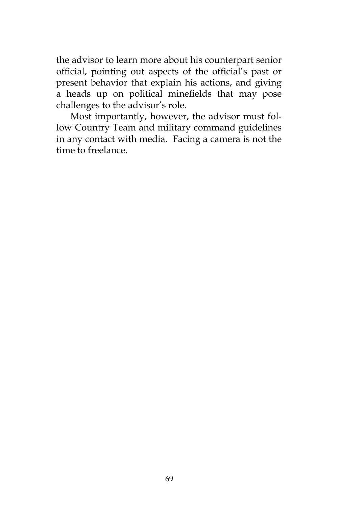the advisor to learn more about his counterpart senior official, pointing out aspects of the official's past or present behavior that explain his actions, and giving a heads up on political minefields that may pose challenges to the advisor's role.

Most importantly, however, the advisor must follow Country Team and military command guidelines in any contact with media. Facing a camera is not the time to freelance.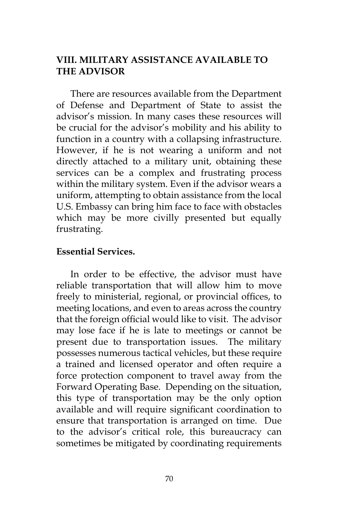# **VIII. MILITARY ASSISTANCE AVAILABLE TO THE ADVISOR**

There are resources available from the Department of Defense and Department of State to assist the advisor's mission. In many cases these resources will be crucial for the advisor's mobility and his ability to function in a country with a collapsing infrastructure. However, if he is not wearing a uniform and not directly attached to a military unit, obtaining these services can be a complex and frustrating process within the military system. Even if the advisor wears a uniform, attempting to obtain assistance from the local U.S. Embassy can bring him face to face with obstacles which may be more civilly presented but equally frustrating.

#### **Essential Services.**

In order to be effective, the advisor must have reliable transportation that will allow him to move freely to ministerial, regional, or provincial offices, to meeting locations, and even to areas across the country that the foreign official would like to visit. The advisor may lose face if he is late to meetings or cannot be present due to transportation issues. The military possesses numerous tactical vehicles, but these require a trained and licensed operator and often require a force protection component to travel away from the Forward Operating Base. Depending on the situation, this type of transportation may be the only option available and will require significant coordination to ensure that transportation is arranged on time. Due to the advisor's critical role, this bureaucracy can sometimes be mitigated by coordinating requirements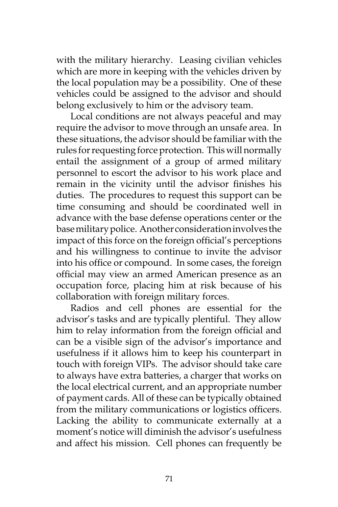with the military hierarchy. Leasing civilian vehicles which are more in keeping with the vehicles driven by the local population may be a possibility. One of these vehicles could be assigned to the advisor and should belong exclusively to him or the advisory team.

Local conditions are not always peaceful and may require the advisor to move through an unsafe area. In these situations, the advisor should be familiar with the rules for requesting force protection. This will normally entail the assignment of a group of armed military personnel to escort the advisor to his work place and remain in the vicinity until the advisor finishes his duties. The procedures to request this support can be time consuming and should be coordinated well in advance with the base defense operations center or the base military police. Another consideration involves the impact of this force on the foreign official's perceptions and his willingness to continue to invite the advisor into his office or compound. In some cases, the foreign official may view an armed American presence as an occupation force, placing him at risk because of his collaboration with foreign military forces.

Radios and cell phones are essential for the advisor's tasks and are typically plentiful. They allow him to relay information from the foreign official and can be a visible sign of the advisor's importance and usefulness if it allows him to keep his counterpart in touch with foreign VIPs. The advisor should take care to always have extra batteries, a charger that works on the local electrical current, and an appropriate number of payment cards. All of these can be typically obtained from the military communications or logistics officers. Lacking the ability to communicate externally at a moment's notice will diminish the advisor's usefulness and affect his mission. Cell phones can frequently be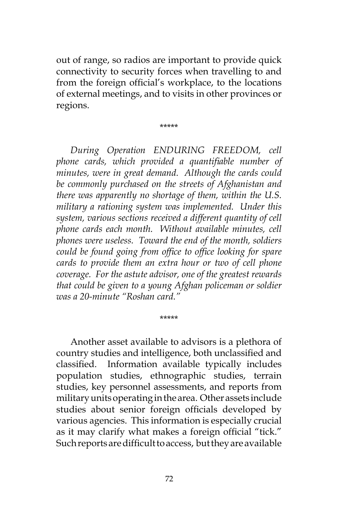out of range, so radios are important to provide quick connectivity to security forces when travelling to and from the foreign official's workplace, to the locations of external meetings, and to visits in other provinces or regions.

\*\*\*\*\*

*During Operation ENDURING FREEDOM, cell phone cards, which provided a quantifiable number of minutes, were in great demand. Although the cards could be commonly purchased on the streets of Afghanistan and there was apparently no shortage of them, within the U.S. military a rationing system was implemented. Under this system, various sections received a different quantity of cell phone cards each month. Without available minutes, cell phones were useless. Toward the end of the month, soldiers could be found going from office to office looking for spare cards to provide them an extra hour or two of cell phone coverage. For the astute advisor, one of the greatest rewards that could be given to a young Afghan policeman or soldier was a 20-minute "Roshan card."* 

Another asset available to advisors is a plethora of country studies and intelligence, both unclassified and classified. Information available typically includes population studies, ethnographic studies, terrain studies, key personnel assessments, and reports from military units operating in the area. Other assets include studies about senior foreign officials developed by various agencies. This information is especially crucial as it may clarify what makes a foreign official "tick." Such reports are difficult to access, but they are available

\*\*\*\*\*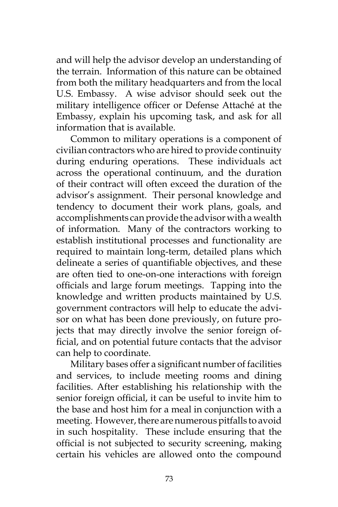and will help the advisor develop an understanding of the terrain. Information of this nature can be obtained from both the military headquarters and from the local U.S. Embassy. A wise advisor should seek out the military intelligence officer or Defense Attaché at the Embassy, explain his upcoming task, and ask for all information that is available.

Common to military operations is a component of civilian contractors who are hired to provide continuity during enduring operations. These individuals act across the operational continuum, and the duration of their contract will often exceed the duration of the advisor's assignment. Their personal knowledge and tendency to document their work plans, goals, and accomplishments can provide the advisor with a wealth of information. Many of the contractors working to establish institutional processes and functionality are required to maintain long-term, detailed plans which delineate a series of quantifiable objectives, and these are often tied to one-on-one interactions with foreign officials and large forum meetings. Tapping into the knowledge and written products maintained by U.S. government contractors will help to educate the advisor on what has been done previously, on future projects that may directly involve the senior foreign official, and on potential future contacts that the advisor can help to coordinate.

Military bases offer a significant number of facilities and services, to include meeting rooms and dining facilities. After establishing his relationship with the senior foreign official, it can be useful to invite him to the base and host him for a meal in conjunction with a meeting. However, there are numerous pitfalls to avoid in such hospitality. These include ensuring that the official is not subjected to security screening, making certain his vehicles are allowed onto the compound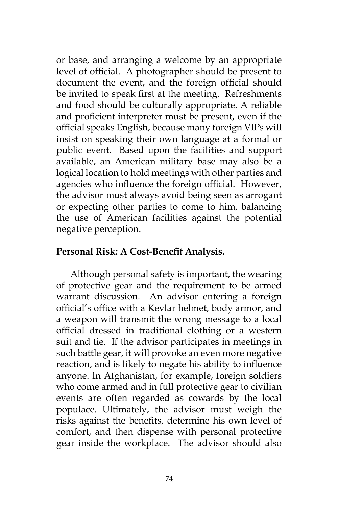or base, and arranging a welcome by an appropriate level of official. A photographer should be present to document the event, and the foreign official should be invited to speak first at the meeting. Refreshments and food should be culturally appropriate. A reliable and proficient interpreter must be present, even if the official speaks English, because many foreign VIPs will insist on speaking their own language at a formal or public event. Based upon the facilities and support available, an American military base may also be a logical location to hold meetings with other parties and agencies who influence the foreign official. However, the advisor must always avoid being seen as arrogant or expecting other parties to come to him, balancing the use of American facilities against the potential negative perception.

## **Personal Risk: A Cost-Benefit Analysis.**

Although personal safety is important, the wearing of protective gear and the requirement to be armed warrant discussion. An advisor entering a foreign official's office with a Kevlar helmet, body armor, and a weapon will transmit the wrong message to a local official dressed in traditional clothing or a western suit and tie. If the advisor participates in meetings in such battle gear, it will provoke an even more negative reaction, and is likely to negate his ability to influence anyone. In Afghanistan, for example, foreign soldiers who come armed and in full protective gear to civilian events are often regarded as cowards by the local populace. Ultimately, the advisor must weigh the risks against the benefits, determine his own level of comfort, and then dispense with personal protective gear inside the workplace. The advisor should also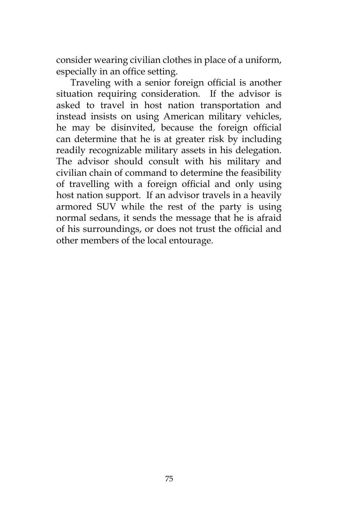consider wearing civilian clothes in place of a uniform, especially in an office setting.

Traveling with a senior foreign official is another situation requiring consideration. If the advisor is asked to travel in host nation transportation and instead insists on using American military vehicles, he may be disinvited, because the foreign official can determine that he is at greater risk by including readily recognizable military assets in his delegation. The advisor should consult with his military and civilian chain of command to determine the feasibility of travelling with a foreign official and only using host nation support. If an advisor travels in a heavily armored SUV while the rest of the party is using normal sedans, it sends the message that he is afraid of his surroundings, or does not trust the official and other members of the local entourage.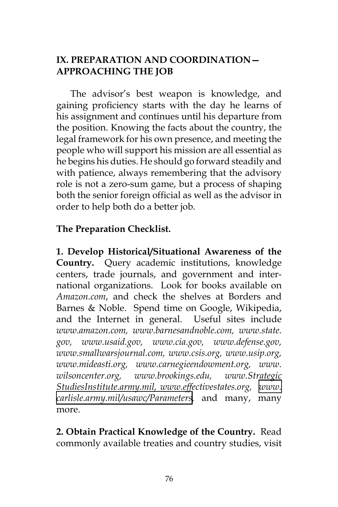# **IX. PREPARATION AND COORDINATION— APPROACHING THE JOB**

The advisor's best weapon is knowledge, and gaining proficiency starts with the day he learns of his assignment and continues until his departure from the position. Knowing the facts about the country, the legal framework for his own presence, and meeting the people who will support his mission are all essential as he begins his duties. He should go forward steadily and with patience, always remembering that the advisory role is not a zero-sum game, but a process of shaping both the senior foreign official as well as the advisor in order to help both do a better job.

# **The Preparation Checklist.**

**1. Develop Historical/Situational Awareness of the Country.** Query academic institutions, knowledge centers, trade journals, and government and international organizations. Look for books available on *Amazon.com*, and check the shelves at Borders and Barnes & Noble. Spend time on Google, Wikipedia, and the Internet in general. Useful sites include *www.amazon.com, www.barnesandnoble.com, www.state. gov, www.usaid.gov, www.cia.gov, www.defense.gov, www.smallwarsjournal.com, www.csis.org, www.usip.org, www.mideasti.org, www.carnegieendowment.org, www. wilsoncenter.org, www.brookings.edu, www.Strategic StudiesInstitute.army.mil, www.effectivestates.org, [www.](http://www.carlisle.army.mil/usawc/Parameters) [carlisle.army.mil/usawc/Parameters,](http://www.carlisle.army.mil/usawc/Parameters)* and many, many more.

**2. Obtain Practical Knowledge of the Country.** Read commonly available treaties and country studies, visit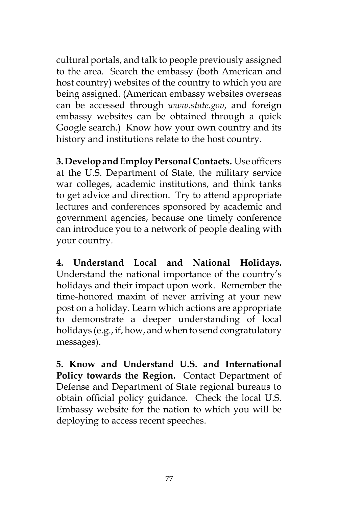cultural portals, and talk to people previously assigned to the area. Search the embassy (both American and host country) websites of the country to which you are being assigned. (American embassy websites overseas can be accessed through *www.state.gov*, and foreign embassy websites can be obtained through a quick Google search.) Know how your own country and its history and institutions relate to the host country.

**3. Develop and Employ Personal Contacts.** Use officers at the U.S. Department of State, the military service war colleges, academic institutions, and think tanks to get advice and direction. Try to attend appropriate lectures and conferences sponsored by academic and government agencies, because one timely conference can introduce you to a network of people dealing with your country.

**4. Understand Local and National Holidays.** Understand the national importance of the country's holidays and their impact upon work. Remember the time-honored maxim of never arriving at your new post on a holiday. Learn which actions are appropriate to demonstrate a deeper understanding of local holidays (e.g., if, how, and when to send congratulatory messages).

**5. Know and Understand U.S. and International Policy towards the Region.** Contact Department of Defense and Department of State regional bureaus to obtain official policy guidance. Check the local U.S. Embassy website for the nation to which you will be deploying to access recent speeches.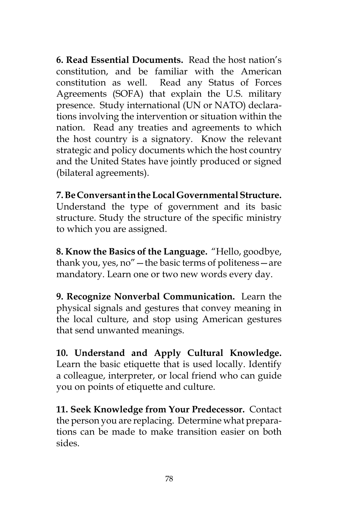**6. Read Essential Documents.** Read the host nation's constitution, and be familiar with the American constitution as well. Read any Status of Forces Agreements (SOFA) that explain the U.S. military presence. Study international (UN or NATO) declarations involving the intervention or situation within the nation. Read any treaties and agreements to which the host country is a signatory. Know the relevant strategic and policy documents which the host country and the United States have jointly produced or signed (bilateral agreements).

**7. Be Conversant in the Local Governmental Structure.** Understand the type of government and its basic structure. Study the structure of the specific ministry to which you are assigned.

**8. Know the Basics of the Language.** "Hello, goodbye, thank you, yes, no"—the basic terms of politeness—are mandatory. Learn one or two new words every day.

**9. Recognize Nonverbal Communication.** Learn the physical signals and gestures that convey meaning in the local culture, and stop using American gestures that send unwanted meanings.

**10. Understand and Apply Cultural Knowledge.**  Learn the basic etiquette that is used locally. Identify a colleague, interpreter, or local friend who can guide you on points of etiquette and culture.

**11. Seek Knowledge from Your Predecessor.** Contact the person you are replacing. Determine what preparations can be made to make transition easier on both sides.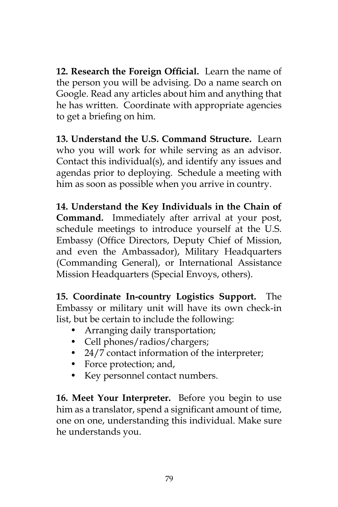**12. Research the Foreign Official.** Learn the name of the person you will be advising. Do a name search on Google. Read any articles about him and anything that he has written. Coordinate with appropriate agencies to get a briefing on him.

**13. Understand the U.S. Command Structure.** Learn who you will work for while serving as an advisor. Contact this individual(s), and identify any issues and agendas prior to deploying. Schedule a meeting with him as soon as possible when you arrive in country.

**14. Understand the Key Individuals in the Chain of Command.** Immediately after arrival at your post, schedule meetings to introduce yourself at the U.S. Embassy (Office Directors, Deputy Chief of Mission, and even the Ambassador), Military Headquarters (Commanding General), or International Assistance Mission Headquarters (Special Envoys, others).

**15. Coordinate In-country Logistics Support.** The Embassy or military unit will have its own check-in list, but be certain to include the following:

- Arranging daily transportation;
- Cell phones/radios/chargers;
- 24/7 contact information of the interpreter;
- Force protection; and,
- Key personnel contact numbers.

**16. Meet Your Interpreter.** Before you begin to use him as a translator, spend a significant amount of time, one on one, understanding this individual. Make sure he understands you.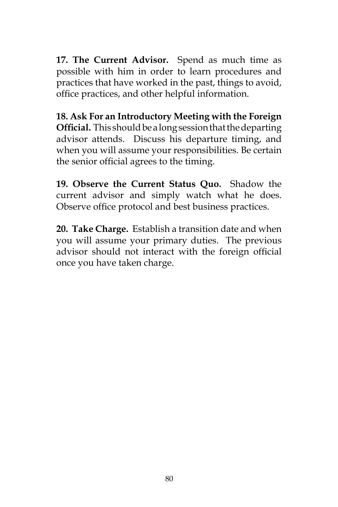**17. The Current Advisor.** Spend as much time as possible with him in order to learn procedures and practices that have worked in the past, things to avoid, office practices, and other helpful information.

**18. Ask For an Introductory Meeting with the Foreign Official.** This should be a long session that the departing advisor attends. Discuss his departure timing, and when you will assume your responsibilities. Be certain the senior official agrees to the timing.

**19. Observe the Current Status Quo.** Shadow the current advisor and simply watch what he does. Observe office protocol and best business practices.

**20. Take Charge.** Establish a transition date and when you will assume your primary duties. The previous advisor should not interact with the foreign official once you have taken charge.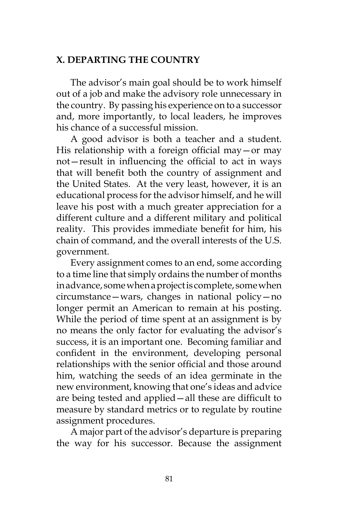## **X. DEPARTING THE COUNTRY**

The advisor's main goal should be to work himself out of a job and make the advisory role unnecessary in the country. By passing his experience on to a successor and, more importantly, to local leaders, he improves his chance of a successful mission.

A good advisor is both a teacher and a student. His relationship with a foreign official may—or may not—result in influencing the official to act in ways that will benefit both the country of assignment and the United States. At the very least, however, it is an educational process for the advisor himself, and he will leave his post with a much greater appreciation for a different culture and a different military and political reality. This provides immediate benefit for him, his chain of command, and the overall interests of the U.S. government.

Every assignment comes to an end, some according to a time line that simply ordains the number of months in advance, some when a project is complete, some when circumstance—wars, changes in national policy—no longer permit an American to remain at his posting. While the period of time spent at an assignment is by no means the only factor for evaluating the advisor's success, it is an important one. Becoming familiar and confident in the environment, developing personal relationships with the senior official and those around him, watching the seeds of an idea germinate in the new environment, knowing that one's ideas and advice are being tested and applied—all these are difficult to measure by standard metrics or to regulate by routine assignment procedures.

A major part of the advisor's departure is preparing the way for his successor. Because the assignment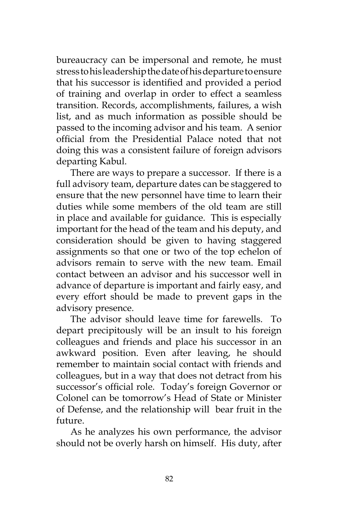bureaucracy can be impersonal and remote, he must stress to his leadership the date of his departure to ensure that his successor is identified and provided a period of training and overlap in order to effect a seamless transition. Records, accomplishments, failures, a wish list, and as much information as possible should be passed to the incoming advisor and his team. A senior official from the Presidential Palace noted that not doing this was a consistent failure of foreign advisors departing Kabul.

There are ways to prepare a successor. If there is a full advisory team, departure dates can be staggered to ensure that the new personnel have time to learn their duties while some members of the old team are still in place and available for guidance. This is especially important for the head of the team and his deputy, and consideration should be given to having staggered assignments so that one or two of the top echelon of advisors remain to serve with the new team. Email contact between an advisor and his successor well in advance of departure is important and fairly easy, and every effort should be made to prevent gaps in the advisory presence.

The advisor should leave time for farewells. To depart precipitously will be an insult to his foreign colleagues and friends and place his successor in an awkward position. Even after leaving, he should remember to maintain social contact with friends and colleagues, but in a way that does not detract from his successor's official role. Today's foreign Governor or Colonel can be tomorrow's Head of State or Minister of Defense, and the relationship will bear fruit in the future.

As he analyzes his own performance, the advisor should not be overly harsh on himself. His duty, after